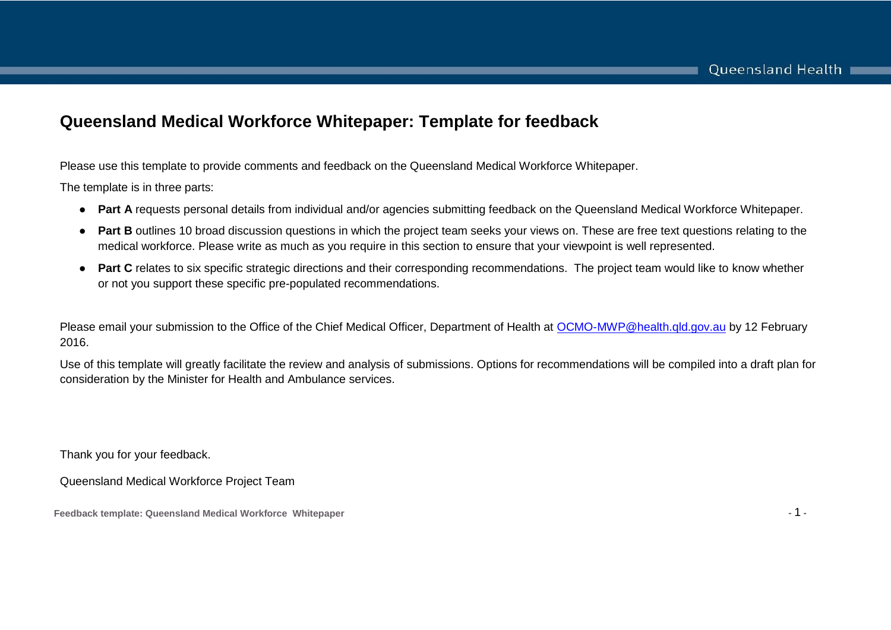#### **Queensland Medical Workforce Whitepaper: Template for feedback**

Please use this template to provide comments and feedback on the Queensland Medical Workforce Whitepaper.

The template is in three parts:

- **Part A** requests personal details from individual and/or agencies submitting feedback on the Queensland Medical Workforce Whitepaper.
- **Part B** outlines 10 broad discussion questions in which the project team seeks your views on. These are free text questions relating to the medical workforce. Please write as much as you require in this section to ensure that your viewpoint is well represented.
- **Part C** relates to six specific strategic directions and their corresponding recommendations. The project team would like to know whether or not you support these specific pre-populated recommendations.

Please email your submission to the Office of the Chief Medical Officer, Department of Health at [OCMO-MWP@health.qld.gov.au](mailto:OCMO-MWP@health.qld.gov.au) by 12 February 2016.

Use of this template will greatly facilitate the review and analysis of submissions. Options for recommendations will be compiled into a draft plan for consideration by the Minister for Health and Ambulance services.

Thank you for your feedback.

Queensland Medical Workforce Project Team

**Feedback template: Queensland Medical Workforce Whitepaper -** 1 **-**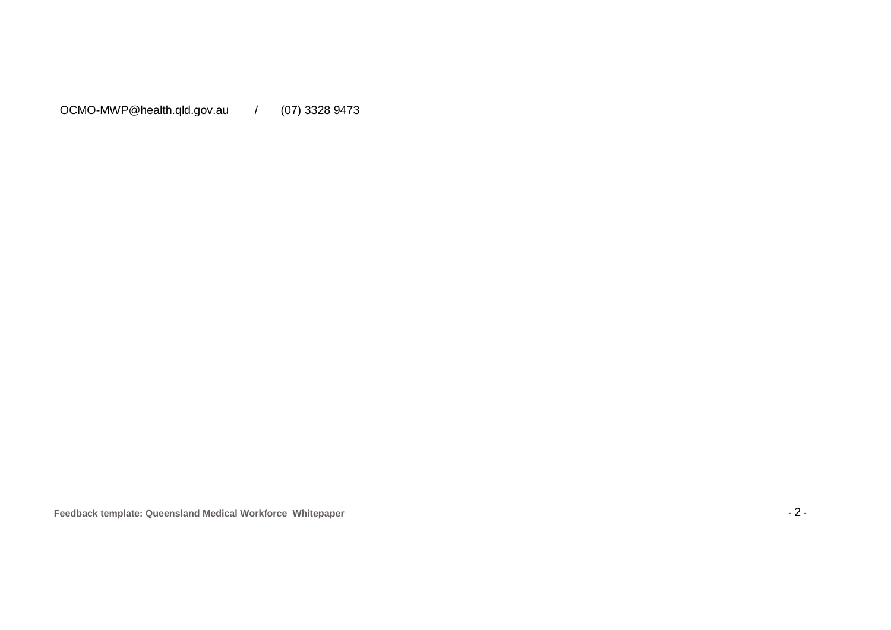OCMO-MWP@health.qld.gov.au / (07) 3328 9473

**Feedback template: Queensland Medical Workforce Whitepaper -** 2 **-**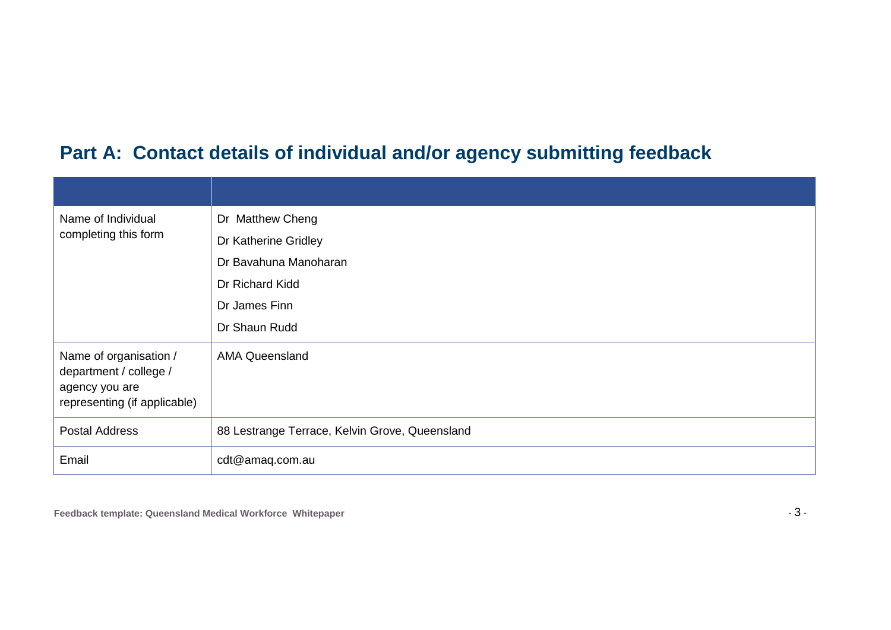# **Part A: Contact details of individual and/or agency submitting feedback**

| Name of Individual                                                                                 | Dr Matthew Cheng                               |
|----------------------------------------------------------------------------------------------------|------------------------------------------------|
| completing this form                                                                               | Dr Katherine Gridley                           |
|                                                                                                    | Dr Bavahuna Manoharan                          |
|                                                                                                    | Dr Richard Kidd                                |
|                                                                                                    | Dr James Finn                                  |
|                                                                                                    | Dr Shaun Rudd                                  |
| Name of organisation /<br>department / college /<br>agency you are<br>representing (if applicable) | <b>AMA Queensland</b>                          |
| <b>Postal Address</b>                                                                              | 88 Lestrange Terrace, Kelvin Grove, Queensland |
| Email                                                                                              | cdt@amaq.com.au                                |

**Feedback template: Queensland Medical Workforce Whitepaper -** 3 **-**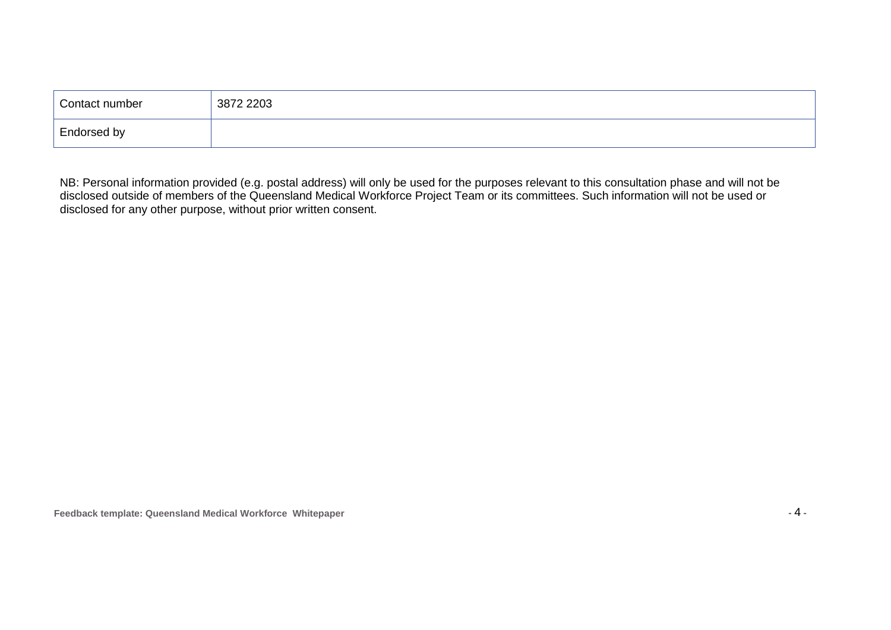| Contact number | 3872 2203 |
|----------------|-----------|
| Endorsed by    |           |

NB: Personal information provided (e.g. postal address) will only be used for the purposes relevant to this consultation phase and will not be disclosed outside of members of the Queensland Medical Workforce Project Team or its committees. Such information will not be used or disclosed for any other purpose, without prior written consent.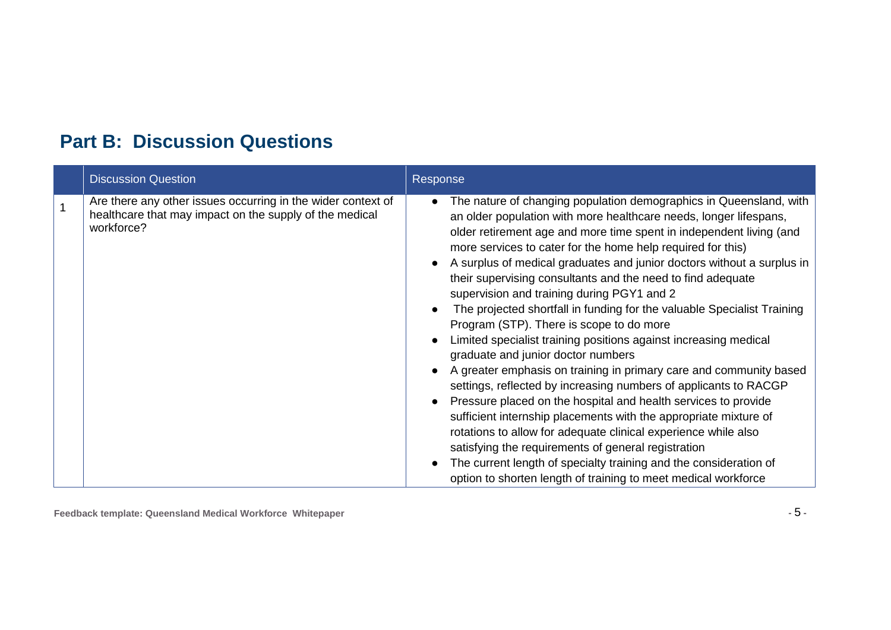## **Part B: Discussion Questions**

| <b>Discussion Question</b>                                                                                                            | Response                                                                                                                                                                                                                                                                                                                                                                                                                                                                                                                                                                                                                                                                                                                                                                                                                                                                                                                                                                                                                                                                                                                                                                                                                                                           |
|---------------------------------------------------------------------------------------------------------------------------------------|--------------------------------------------------------------------------------------------------------------------------------------------------------------------------------------------------------------------------------------------------------------------------------------------------------------------------------------------------------------------------------------------------------------------------------------------------------------------------------------------------------------------------------------------------------------------------------------------------------------------------------------------------------------------------------------------------------------------------------------------------------------------------------------------------------------------------------------------------------------------------------------------------------------------------------------------------------------------------------------------------------------------------------------------------------------------------------------------------------------------------------------------------------------------------------------------------------------------------------------------------------------------|
| Are there any other issues occurring in the wider context of<br>healthcare that may impact on the supply of the medical<br>workforce? | The nature of changing population demographics in Queensland, with<br>$\bullet$<br>an older population with more healthcare needs, longer lifespans,<br>older retirement age and more time spent in independent living (and<br>more services to cater for the home help required for this)<br>A surplus of medical graduates and junior doctors without a surplus in<br>their supervising consultants and the need to find adequate<br>supervision and training during PGY1 and 2<br>The projected shortfall in funding for the valuable Specialist Training<br>Program (STP). There is scope to do more<br>Limited specialist training positions against increasing medical<br>graduate and junior doctor numbers<br>A greater emphasis on training in primary care and community based<br>settings, reflected by increasing numbers of applicants to RACGP<br>Pressure placed on the hospital and health services to provide<br>sufficient internship placements with the appropriate mixture of<br>rotations to allow for adequate clinical experience while also<br>satisfying the requirements of general registration<br>The current length of specialty training and the consideration of<br>option to shorten length of training to meet medical workforce |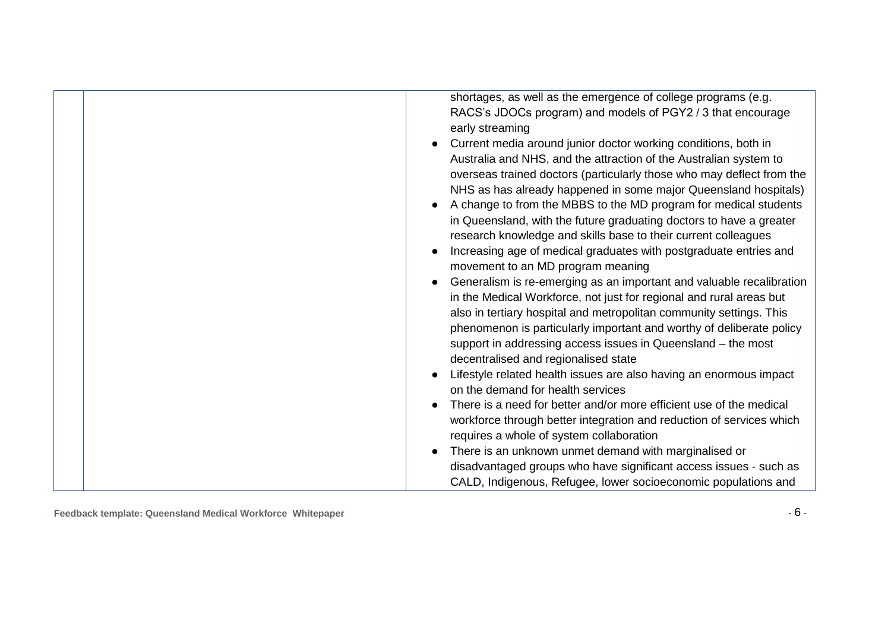| shortages, as well as the emergence of college programs (e.g.                                                                        |
|--------------------------------------------------------------------------------------------------------------------------------------|
| RACS's JDOCs program) and models of PGY2 / 3 that encourage                                                                          |
| early streaming                                                                                                                      |
| Current media around junior doctor working conditions, both in<br>$\bullet$                                                          |
| Australia and NHS, and the attraction of the Australian system to                                                                    |
| overseas trained doctors (particularly those who may deflect from the                                                                |
| NHS as has already happened in some major Queensland hospitals)                                                                      |
| A change to from the MBBS to the MD program for medical students<br>$\bullet$                                                        |
| in Queensland, with the future graduating doctors to have a greater                                                                  |
| research knowledge and skills base to their current colleagues                                                                       |
| Increasing age of medical graduates with postgraduate entries and<br>$\bullet$                                                       |
| movement to an MD program meaning                                                                                                    |
| Generalism is re-emerging as an important and valuable recalibration                                                                 |
| in the Medical Workforce, not just for regional and rural areas but                                                                  |
| also in tertiary hospital and metropolitan community settings. This                                                                  |
| phenomenon is particularly important and worthy of deliberate policy<br>support in addressing access issues in Queensland – the most |
| decentralised and regionalised state                                                                                                 |
| Lifestyle related health issues are also having an enormous impact<br>$\bullet$                                                      |
| on the demand for health services                                                                                                    |
| There is a need for better and/or more efficient use of the medical                                                                  |
| workforce through better integration and reduction of services which                                                                 |
| requires a whole of system collaboration                                                                                             |
| There is an unknown unmet demand with marginalised or                                                                                |
| disadvantaged groups who have significant access issues - such as                                                                    |
| CALD, Indigenous, Refugee, lower socioeconomic populations and                                                                       |

**Feedback template: Queensland Medical Workforce Whitepaper -** 6 **-**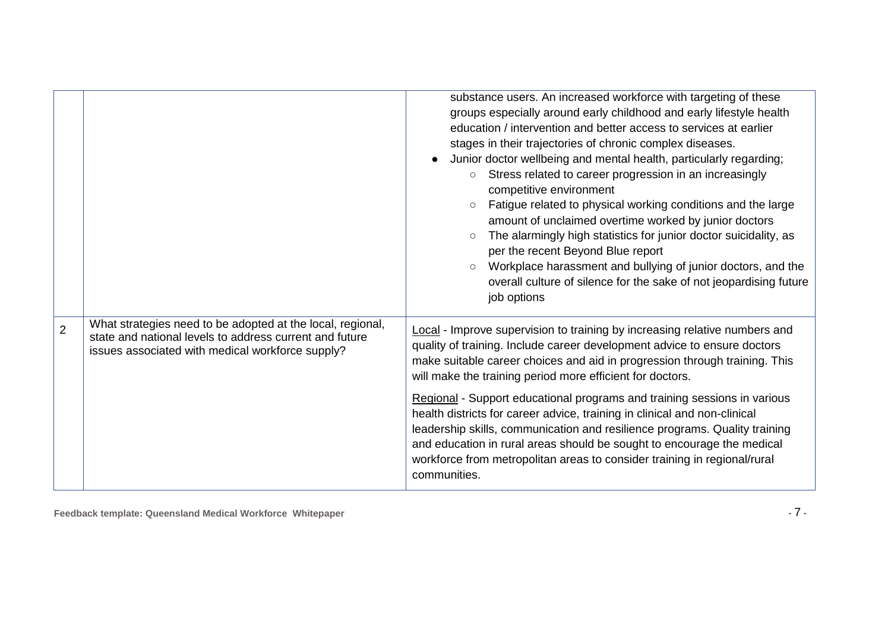|                |                                                                                                                                                                           | substance users. An increased workforce with targeting of these<br>groups especially around early childhood and early lifestyle health<br>education / intervention and better access to services at earlier<br>stages in their trajectories of chronic complex diseases.<br>Junior doctor wellbeing and mental health, particularly regarding;<br>Stress related to career progression in an increasingly<br>$\circ$<br>competitive environment<br>Fatigue related to physical working conditions and the large<br>amount of unclaimed overtime worked by junior doctors<br>The alarmingly high statistics for junior doctor suicidality, as<br>$\circ$<br>per the recent Beyond Blue report<br>Workplace harassment and bullying of junior doctors, and the<br>$\circ$<br>overall culture of silence for the sake of not jeopardising future<br>job options |
|----------------|---------------------------------------------------------------------------------------------------------------------------------------------------------------------------|--------------------------------------------------------------------------------------------------------------------------------------------------------------------------------------------------------------------------------------------------------------------------------------------------------------------------------------------------------------------------------------------------------------------------------------------------------------------------------------------------------------------------------------------------------------------------------------------------------------------------------------------------------------------------------------------------------------------------------------------------------------------------------------------------------------------------------------------------------------|
| $\overline{2}$ | What strategies need to be adopted at the local, regional,<br>state and national levels to address current and future<br>issues associated with medical workforce supply? | Local - Improve supervision to training by increasing relative numbers and<br>quality of training. Include career development advice to ensure doctors<br>make suitable career choices and aid in progression through training. This<br>will make the training period more efficient for doctors.                                                                                                                                                                                                                                                                                                                                                                                                                                                                                                                                                            |
|                |                                                                                                                                                                           | Regional - Support educational programs and training sessions in various<br>health districts for career advice, training in clinical and non-clinical<br>leadership skills, communication and resilience programs. Quality training<br>and education in rural areas should be sought to encourage the medical<br>workforce from metropolitan areas to consider training in regional/rural<br>communities.                                                                                                                                                                                                                                                                                                                                                                                                                                                    |

**Feedback template: Queensland Medical Workforce Whitepaper -** 7 **-**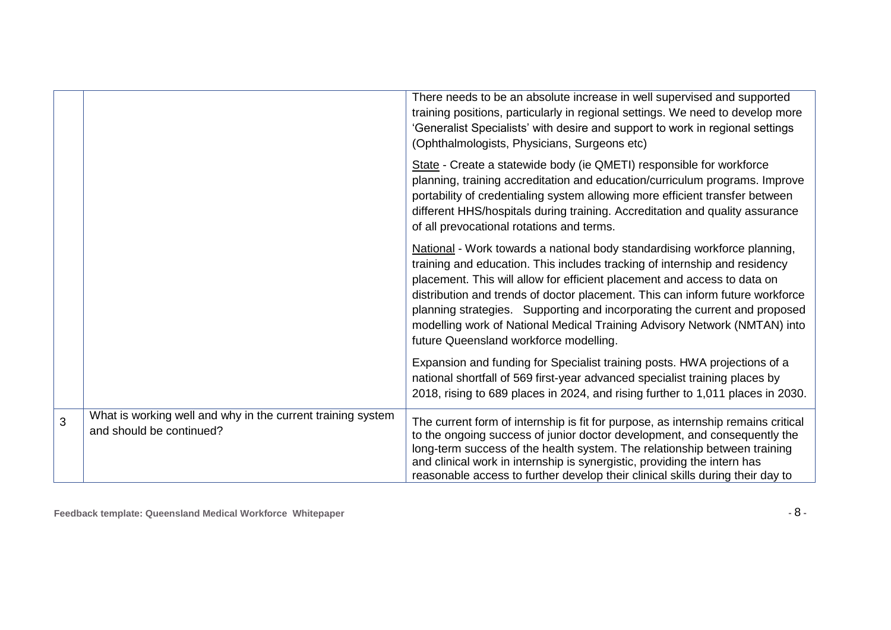|   |                                                                                         | There needs to be an absolute increase in well supervised and supported<br>training positions, particularly in regional settings. We need to develop more<br>'Generalist Specialists' with desire and support to work in regional settings<br>(Ophthalmologists, Physicians, Surgeons etc)                                                                                                                                                                                                                                |
|---|-----------------------------------------------------------------------------------------|---------------------------------------------------------------------------------------------------------------------------------------------------------------------------------------------------------------------------------------------------------------------------------------------------------------------------------------------------------------------------------------------------------------------------------------------------------------------------------------------------------------------------|
|   |                                                                                         | State - Create a statewide body (ie QMETI) responsible for workforce<br>planning, training accreditation and education/curriculum programs. Improve<br>portability of credentialing system allowing more efficient transfer between<br>different HHS/hospitals during training. Accreditation and quality assurance<br>of all prevocational rotations and terms.                                                                                                                                                          |
|   |                                                                                         | National - Work towards a national body standardising workforce planning,<br>training and education. This includes tracking of internship and residency<br>placement. This will allow for efficient placement and access to data on<br>distribution and trends of doctor placement. This can inform future workforce<br>planning strategies. Supporting and incorporating the current and proposed<br>modelling work of National Medical Training Advisory Network (NMTAN) into<br>future Queensland workforce modelling. |
|   |                                                                                         | Expansion and funding for Specialist training posts. HWA projections of a<br>national shortfall of 569 first-year advanced specialist training places by<br>2018, rising to 689 places in 2024, and rising further to 1,011 places in 2030.                                                                                                                                                                                                                                                                               |
| 3 | What is working well and why in the current training system<br>and should be continued? | The current form of internship is fit for purpose, as internship remains critical<br>to the ongoing success of junior doctor development, and consequently the<br>long-term success of the health system. The relationship between training<br>and clinical work in internship is synergistic, providing the intern has<br>reasonable access to further develop their clinical skills during their day to                                                                                                                 |

**Feedback template: Queensland Medical Workforce Whitepaper -** 8 **-**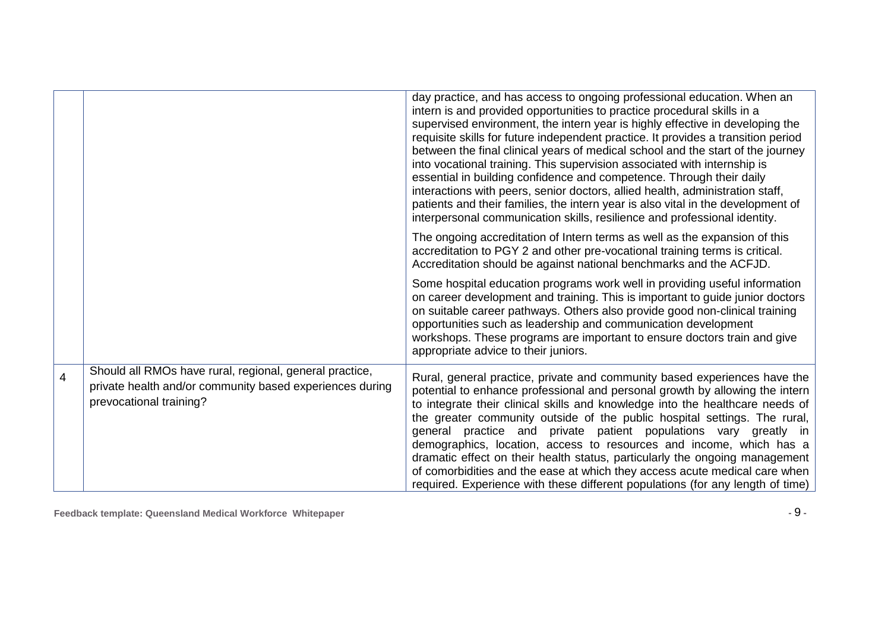|                |                                                                                                                                                | day practice, and has access to ongoing professional education. When an<br>intern is and provided opportunities to practice procedural skills in a<br>supervised environment, the intern year is highly effective in developing the<br>requisite skills for future independent practice. It provides a transition period<br>between the final clinical years of medical school and the start of the journey<br>into vocational training. This supervision associated with internship is<br>essential in building confidence and competence. Through their daily<br>interactions with peers, senior doctors, allied health, administration staff,<br>patients and their families, the intern year is also vital in the development of<br>interpersonal communication skills, resilience and professional identity. |
|----------------|------------------------------------------------------------------------------------------------------------------------------------------------|-------------------------------------------------------------------------------------------------------------------------------------------------------------------------------------------------------------------------------------------------------------------------------------------------------------------------------------------------------------------------------------------------------------------------------------------------------------------------------------------------------------------------------------------------------------------------------------------------------------------------------------------------------------------------------------------------------------------------------------------------------------------------------------------------------------------|
|                |                                                                                                                                                | The ongoing accreditation of Intern terms as well as the expansion of this<br>accreditation to PGY 2 and other pre-vocational training terms is critical.<br>Accreditation should be against national benchmarks and the ACFJD.                                                                                                                                                                                                                                                                                                                                                                                                                                                                                                                                                                                   |
|                |                                                                                                                                                | Some hospital education programs work well in providing useful information<br>on career development and training. This is important to guide junior doctors<br>on suitable career pathways. Others also provide good non-clinical training<br>opportunities such as leadership and communication development<br>workshops. These programs are important to ensure doctors train and give<br>appropriate advice to their juniors.                                                                                                                                                                                                                                                                                                                                                                                  |
| $\overline{4}$ | Should all RMOs have rural, regional, general practice,<br>private health and/or community based experiences during<br>prevocational training? | Rural, general practice, private and community based experiences have the<br>potential to enhance professional and personal growth by allowing the intern<br>to integrate their clinical skills and knowledge into the healthcare needs of<br>the greater community outside of the public hospital settings. The rural,<br>general practice and private patient populations vary greatly in<br>demographics, location, access to resources and income, which has a<br>dramatic effect on their health status, particularly the ongoing management<br>of comorbidities and the ease at which they access acute medical care when<br>required. Experience with these different populations (for any length of time)                                                                                                 |

**Feedback template: Queensland Medical Workforce Whitepaper -** 9 **-**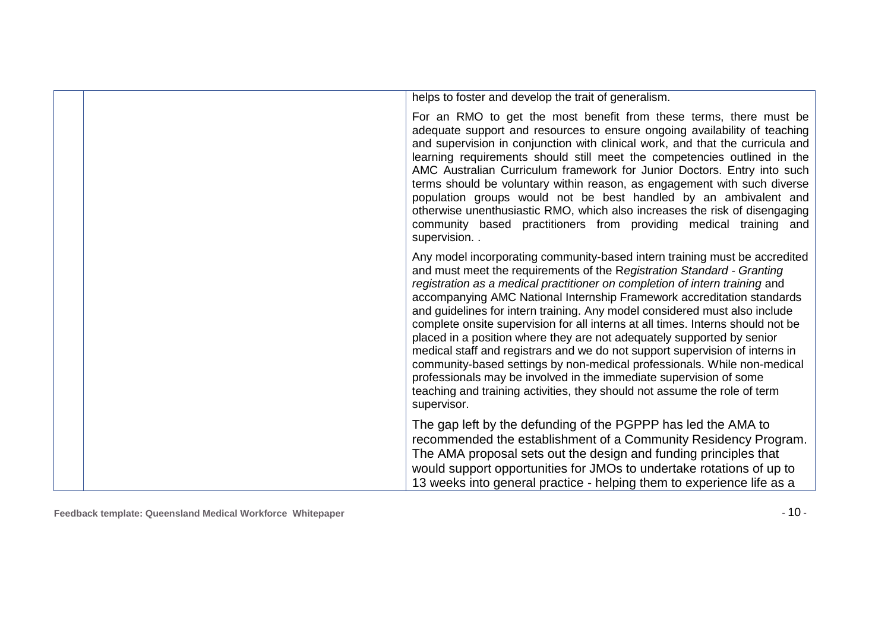| helps to foster and develop the trait of generalism.                                                                                                                                                                                                                                                                                                                                                                                                                                                                                                                                                                                                                                                                                                                                                                                                                                   |
|----------------------------------------------------------------------------------------------------------------------------------------------------------------------------------------------------------------------------------------------------------------------------------------------------------------------------------------------------------------------------------------------------------------------------------------------------------------------------------------------------------------------------------------------------------------------------------------------------------------------------------------------------------------------------------------------------------------------------------------------------------------------------------------------------------------------------------------------------------------------------------------|
| For an RMO to get the most benefit from these terms, there must be<br>adequate support and resources to ensure ongoing availability of teaching<br>and supervision in conjunction with clinical work, and that the curricula and<br>learning requirements should still meet the competencies outlined in the<br>AMC Australian Curriculum framework for Junior Doctors. Entry into such<br>terms should be voluntary within reason, as engagement with such diverse<br>population groups would not be best handled by an ambivalent and<br>otherwise unenthusiastic RMO, which also increases the risk of disengaging<br>community based practitioners from providing medical training and<br>supervision                                                                                                                                                                              |
| Any model incorporating community-based intern training must be accredited<br>and must meet the requirements of the Registration Standard - Granting<br>registration as a medical practitioner on completion of intern training and<br>accompanying AMC National Internship Framework accreditation standards<br>and guidelines for intern training. Any model considered must also include<br>complete onsite supervision for all interns at all times. Interns should not be<br>placed in a position where they are not adequately supported by senior<br>medical staff and registrars and we do not support supervision of interns in<br>community-based settings by non-medical professionals. While non-medical<br>professionals may be involved in the immediate supervision of some<br>teaching and training activities, they should not assume the role of term<br>supervisor. |
| The gap left by the defunding of the PGPPP has led the AMA to<br>recommended the establishment of a Community Residency Program.<br>The AMA proposal sets out the design and funding principles that<br>would support opportunities for JMOs to undertake rotations of up to<br>13 weeks into general practice - helping them to experience life as a                                                                                                                                                                                                                                                                                                                                                                                                                                                                                                                                  |

**Feedback template: Queensland Medical Workforce Whitepaper -** 10 **-**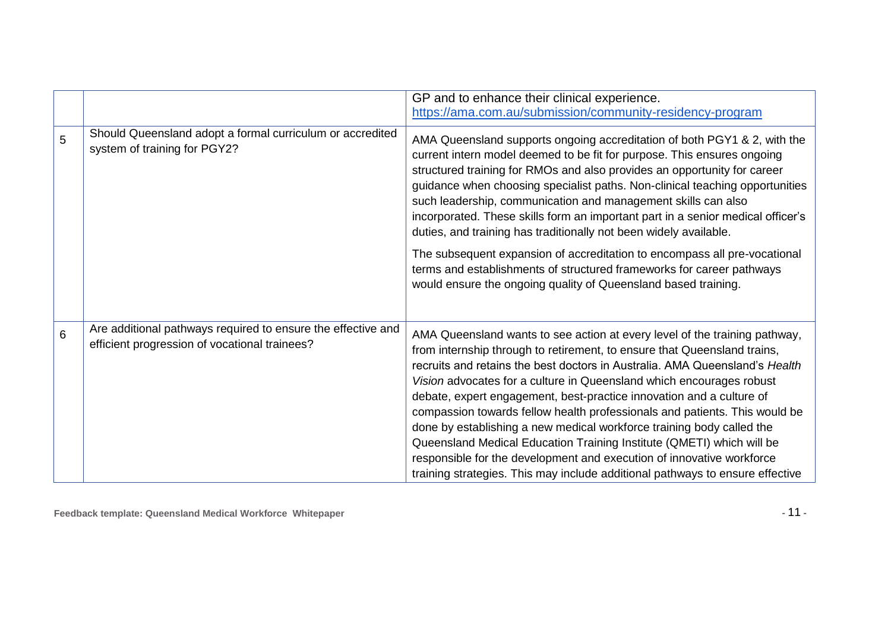|   |                                                                                                               | GP and to enhance their clinical experience.<br>https://ama.com.au/submission/community-residency-program                                                                                                                                                                                                                                                                                                                                                                                                                                                                                                                                                                                                                                                                       |
|---|---------------------------------------------------------------------------------------------------------------|---------------------------------------------------------------------------------------------------------------------------------------------------------------------------------------------------------------------------------------------------------------------------------------------------------------------------------------------------------------------------------------------------------------------------------------------------------------------------------------------------------------------------------------------------------------------------------------------------------------------------------------------------------------------------------------------------------------------------------------------------------------------------------|
| 5 | Should Queensland adopt a formal curriculum or accredited<br>system of training for PGY2?                     | AMA Queensland supports ongoing accreditation of both PGY1 & 2, with the<br>current intern model deemed to be fit for purpose. This ensures ongoing<br>structured training for RMOs and also provides an opportunity for career<br>guidance when choosing specialist paths. Non-clinical teaching opportunities<br>such leadership, communication and management skills can also<br>incorporated. These skills form an important part in a senior medical officer's<br>duties, and training has traditionally not been widely available.<br>The subsequent expansion of accreditation to encompass all pre-vocational<br>terms and establishments of structured frameworks for career pathways<br>would ensure the ongoing quality of Queensland based training.                |
|   |                                                                                                               |                                                                                                                                                                                                                                                                                                                                                                                                                                                                                                                                                                                                                                                                                                                                                                                 |
| 6 | Are additional pathways required to ensure the effective and<br>efficient progression of vocational trainees? | AMA Queensland wants to see action at every level of the training pathway,<br>from internship through to retirement, to ensure that Queensland trains,<br>recruits and retains the best doctors in Australia. AMA Queensland's Health<br>Vision advocates for a culture in Queensland which encourages robust<br>debate, expert engagement, best-practice innovation and a culture of<br>compassion towards fellow health professionals and patients. This would be<br>done by establishing a new medical workforce training body called the<br>Queensland Medical Education Training Institute (QMETI) which will be<br>responsible for the development and execution of innovative workforce<br>training strategies. This may include additional pathways to ensure effective |

**Feedback template: Queensland Medical Workforce Whitepaper -** 11 **-**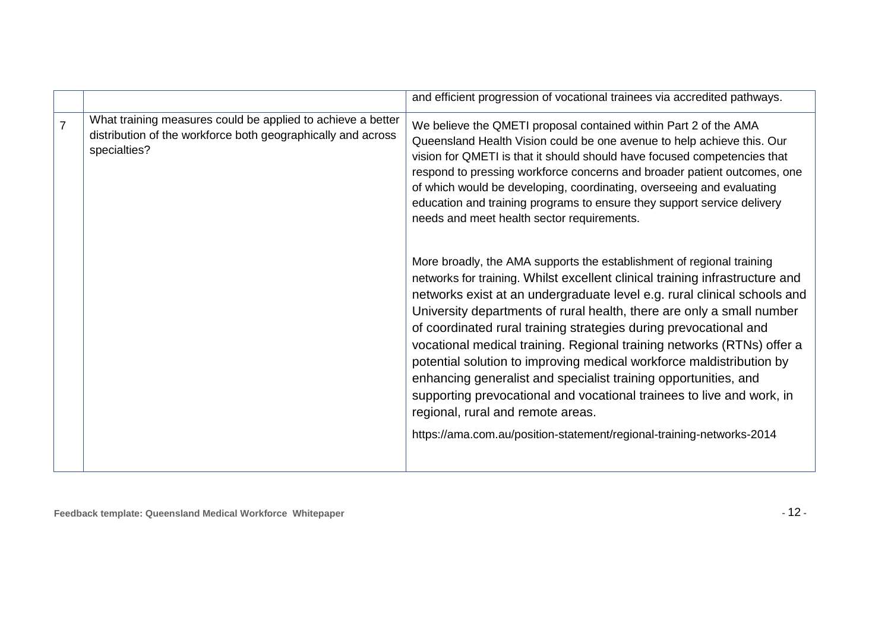|                |                                                                                                                                             | and efficient progression of vocational trainees via accredited pathways.                                                                                                                                                                                                                                                                                                                                                                                                                                                                                                                                                                                                                                                                                                                                                                                                                                                                                                                                                                                                                                                                                                                                                                                                                           |
|----------------|---------------------------------------------------------------------------------------------------------------------------------------------|-----------------------------------------------------------------------------------------------------------------------------------------------------------------------------------------------------------------------------------------------------------------------------------------------------------------------------------------------------------------------------------------------------------------------------------------------------------------------------------------------------------------------------------------------------------------------------------------------------------------------------------------------------------------------------------------------------------------------------------------------------------------------------------------------------------------------------------------------------------------------------------------------------------------------------------------------------------------------------------------------------------------------------------------------------------------------------------------------------------------------------------------------------------------------------------------------------------------------------------------------------------------------------------------------------|
| $\overline{7}$ | What training measures could be applied to achieve a better<br>distribution of the workforce both geographically and across<br>specialties? | We believe the QMETI proposal contained within Part 2 of the AMA<br>Queensland Health Vision could be one avenue to help achieve this. Our<br>vision for QMETI is that it should should have focused competencies that<br>respond to pressing workforce concerns and broader patient outcomes, one<br>of which would be developing, coordinating, overseeing and evaluating<br>education and training programs to ensure they support service delivery<br>needs and meet health sector requirements.<br>More broadly, the AMA supports the establishment of regional training<br>networks for training. Whilst excellent clinical training infrastructure and<br>networks exist at an undergraduate level e.g. rural clinical schools and<br>University departments of rural health, there are only a small number<br>of coordinated rural training strategies during prevocational and<br>vocational medical training. Regional training networks (RTNs) offer a<br>potential solution to improving medical workforce maldistribution by<br>enhancing generalist and specialist training opportunities, and<br>supporting prevocational and vocational trainees to live and work, in<br>regional, rural and remote areas.<br>https://ama.com.au/position-statement/regional-training-networks-2014 |
|                |                                                                                                                                             |                                                                                                                                                                                                                                                                                                                                                                                                                                                                                                                                                                                                                                                                                                                                                                                                                                                                                                                                                                                                                                                                                                                                                                                                                                                                                                     |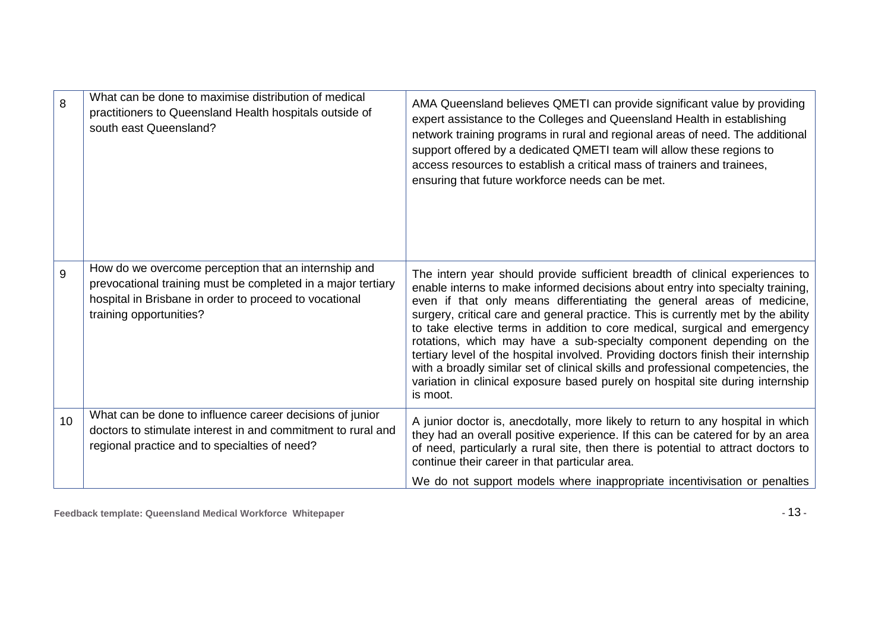| 8  | What can be done to maximise distribution of medical<br>practitioners to Queensland Health hospitals outside of<br>south east Queensland?                                                                 | AMA Queensland believes QMETI can provide significant value by providing<br>expert assistance to the Colleges and Queensland Health in establishing<br>network training programs in rural and regional areas of need. The additional<br>support offered by a dedicated QMETI team will allow these regions to<br>access resources to establish a critical mass of trainers and trainees,<br>ensuring that future workforce needs can be met.                                                                                                                                                                                                                                                                                                                |
|----|-----------------------------------------------------------------------------------------------------------------------------------------------------------------------------------------------------------|-------------------------------------------------------------------------------------------------------------------------------------------------------------------------------------------------------------------------------------------------------------------------------------------------------------------------------------------------------------------------------------------------------------------------------------------------------------------------------------------------------------------------------------------------------------------------------------------------------------------------------------------------------------------------------------------------------------------------------------------------------------|
| 9  | How do we overcome perception that an internship and<br>prevocational training must be completed in a major tertiary<br>hospital in Brisbane in order to proceed to vocational<br>training opportunities? | The intern year should provide sufficient breadth of clinical experiences to<br>enable interns to make informed decisions about entry into specialty training,<br>even if that only means differentiating the general areas of medicine,<br>surgery, critical care and general practice. This is currently met by the ability<br>to take elective terms in addition to core medical, surgical and emergency<br>rotations, which may have a sub-specialty component depending on the<br>tertiary level of the hospital involved. Providing doctors finish their internship<br>with a broadly similar set of clinical skills and professional competencies, the<br>variation in clinical exposure based purely on hospital site during internship<br>is moot. |
| 10 | What can be done to influence career decisions of junior<br>doctors to stimulate interest in and commitment to rural and<br>regional practice and to specialties of need?                                 | A junior doctor is, anecdotally, more likely to return to any hospital in which<br>they had an overall positive experience. If this can be catered for by an area<br>of need, particularly a rural site, then there is potential to attract doctors to<br>continue their career in that particular area.                                                                                                                                                                                                                                                                                                                                                                                                                                                    |
|    |                                                                                                                                                                                                           | We do not support models where inappropriate incentivisation or penalties                                                                                                                                                                                                                                                                                                                                                                                                                                                                                                                                                                                                                                                                                   |

**Feedback template: Queensland Medical Workforce Whitepaper -** 13 **-**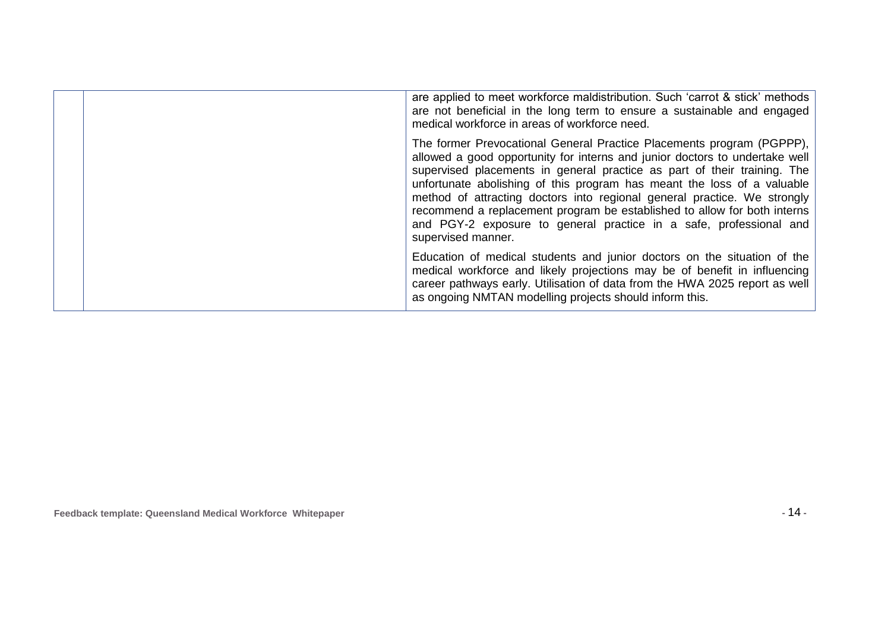|  | are applied to meet workforce maldistribution. Such 'carrot & stick' methods<br>are not beneficial in the long term to ensure a sustainable and engaged<br>medical workforce in areas of workforce need.                                                                                                                                                                                                                                                                                                                                                        |
|--|-----------------------------------------------------------------------------------------------------------------------------------------------------------------------------------------------------------------------------------------------------------------------------------------------------------------------------------------------------------------------------------------------------------------------------------------------------------------------------------------------------------------------------------------------------------------|
|  | The former Prevocational General Practice Placements program (PGPPP),<br>allowed a good opportunity for interns and junior doctors to undertake well<br>supervised placements in general practice as part of their training. The<br>unfortunate abolishing of this program has meant the loss of a valuable<br>method of attracting doctors into regional general practice. We strongly<br>recommend a replacement program be established to allow for both interns<br>and PGY-2 exposure to general practice in a safe, professional and<br>supervised manner. |
|  | Education of medical students and junior doctors on the situation of the<br>medical workforce and likely projections may be of benefit in influencing<br>career pathways early. Utilisation of data from the HWA 2025 report as well<br>as ongoing NMTAN modelling projects should inform this.                                                                                                                                                                                                                                                                 |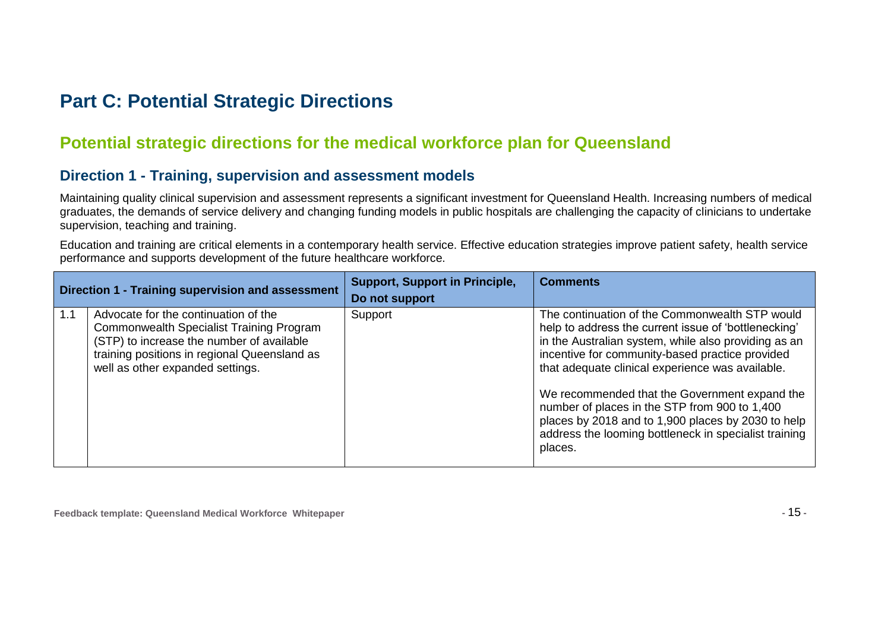### **Part C: Potential Strategic Directions**

### **Potential strategic directions for the medical workforce plan for Queensland**

#### **Direction 1 - Training, supervision and assessment models**

Maintaining quality clinical supervision and assessment represents a significant investment for Queensland Health. Increasing numbers of medical graduates, the demands of service delivery and changing funding models in public hospitals are challenging the capacity of clinicians to undertake supervision, teaching and training.

Education and training are critical elements in a contemporary health service. Effective education strategies improve patient safety, health service performance and supports development of the future healthcare workforce.

| Direction 1 - Training supervision and assessment |                                                                                                                                                                                                                   | <b>Support, Support in Principle,</b><br>Do not support | <b>Comments</b>                                                                                                                                                                                                                                                                                                                                                                                                                                                                                   |
|---------------------------------------------------|-------------------------------------------------------------------------------------------------------------------------------------------------------------------------------------------------------------------|---------------------------------------------------------|---------------------------------------------------------------------------------------------------------------------------------------------------------------------------------------------------------------------------------------------------------------------------------------------------------------------------------------------------------------------------------------------------------------------------------------------------------------------------------------------------|
| 1.1                                               | Advocate for the continuation of the<br>Commonwealth Specialist Training Program<br>(STP) to increase the number of available<br>training positions in regional Queensland as<br>well as other expanded settings. | Support                                                 | The continuation of the Commonwealth STP would<br>help to address the current issue of 'bottlenecking'<br>in the Australian system, while also providing as an<br>incentive for community-based practice provided<br>that adequate clinical experience was available.<br>We recommended that the Government expand the<br>number of places in the STP from 900 to 1,400<br>places by 2018 and to 1,900 places by 2030 to help<br>address the looming bottleneck in specialist training<br>places. |

**Feedback template: Queensland Medical Workforce Whitepaper -** 15 **-**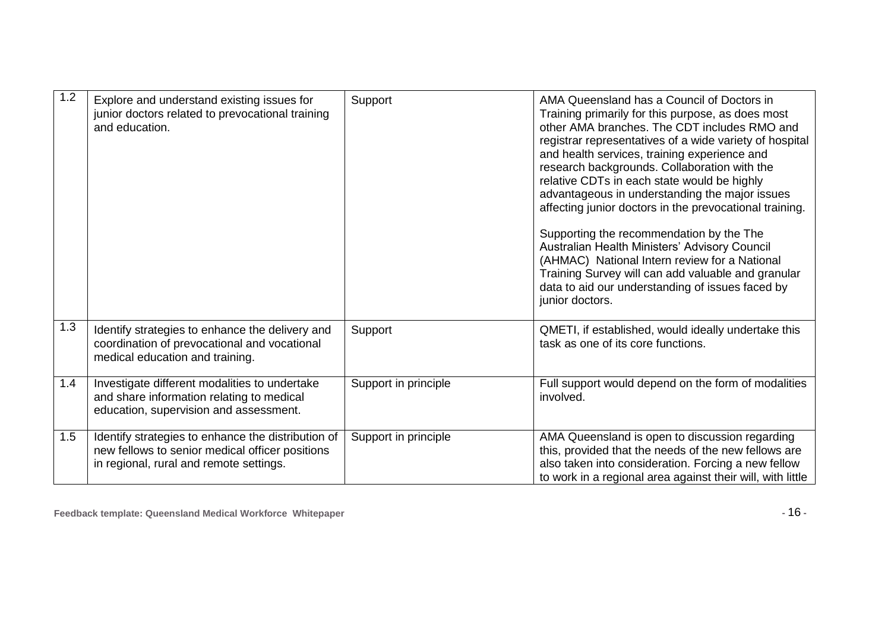| 1.2 | Explore and understand existing issues for<br>junior doctors related to prevocational training<br>and education.                                 | Support              | AMA Queensland has a Council of Doctors in<br>Training primarily for this purpose, as does most<br>other AMA branches. The CDT includes RMO and<br>registrar representatives of a wide variety of hospital<br>and health services, training experience and<br>research backgrounds. Collaboration with the<br>relative CDTs in each state would be highly<br>advantageous in understanding the major issues<br>affecting junior doctors in the prevocational training.<br>Supporting the recommendation by the The<br>Australian Health Ministers' Advisory Council<br>(AHMAC) National Intern review for a National<br>Training Survey will can add valuable and granular<br>data to aid our understanding of issues faced by<br>junior doctors. |
|-----|--------------------------------------------------------------------------------------------------------------------------------------------------|----------------------|---------------------------------------------------------------------------------------------------------------------------------------------------------------------------------------------------------------------------------------------------------------------------------------------------------------------------------------------------------------------------------------------------------------------------------------------------------------------------------------------------------------------------------------------------------------------------------------------------------------------------------------------------------------------------------------------------------------------------------------------------|
| 1.3 | Identify strategies to enhance the delivery and<br>coordination of prevocational and vocational<br>medical education and training.               | Support              | QMETI, if established, would ideally undertake this<br>task as one of its core functions.                                                                                                                                                                                                                                                                                                                                                                                                                                                                                                                                                                                                                                                         |
| 1.4 | Investigate different modalities to undertake<br>and share information relating to medical<br>education, supervision and assessment.             | Support in principle | Full support would depend on the form of modalities<br>involved.                                                                                                                                                                                                                                                                                                                                                                                                                                                                                                                                                                                                                                                                                  |
| 1.5 | Identify strategies to enhance the distribution of<br>new fellows to senior medical officer positions<br>in regional, rural and remote settings. | Support in principle | AMA Queensland is open to discussion regarding<br>this, provided that the needs of the new fellows are<br>also taken into consideration. Forcing a new fellow<br>to work in a regional area against their will, with little                                                                                                                                                                                                                                                                                                                                                                                                                                                                                                                       |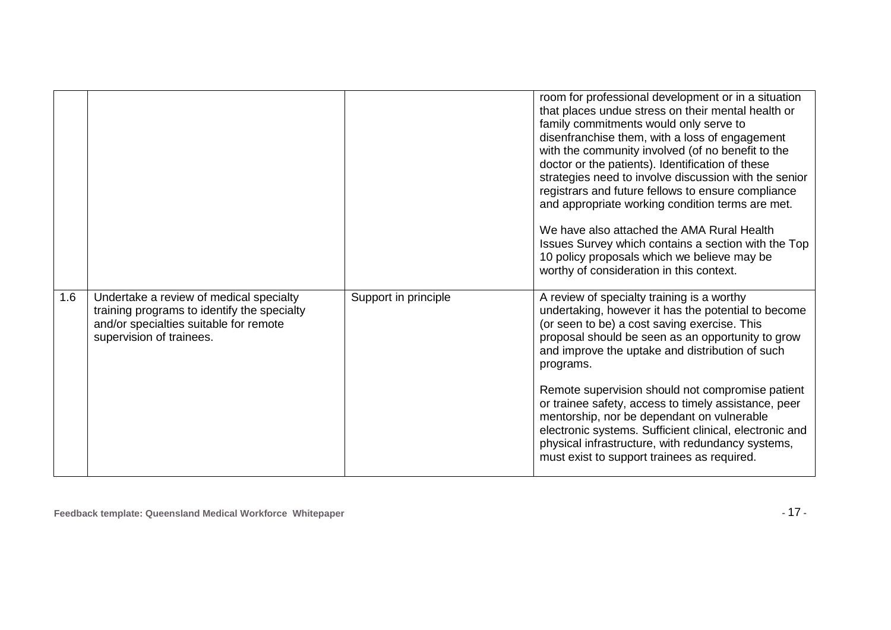|     |                                                                                                                                                              |                      | room for professional development or in a situation<br>that places undue stress on their mental health or<br>family commitments would only serve to<br>disenfranchise them, with a loss of engagement<br>with the community involved (of no benefit to the<br>doctor or the patients). Identification of these        |
|-----|--------------------------------------------------------------------------------------------------------------------------------------------------------------|----------------------|-----------------------------------------------------------------------------------------------------------------------------------------------------------------------------------------------------------------------------------------------------------------------------------------------------------------------|
|     |                                                                                                                                                              |                      | strategies need to involve discussion with the senior<br>registrars and future fellows to ensure compliance<br>and appropriate working condition terms are met.                                                                                                                                                       |
|     |                                                                                                                                                              |                      | We have also attached the AMA Rural Health<br>Issues Survey which contains a section with the Top<br>10 policy proposals which we believe may be<br>worthy of consideration in this context.                                                                                                                          |
| 1.6 | Undertake a review of medical specialty<br>training programs to identify the specialty<br>and/or specialties suitable for remote<br>supervision of trainees. | Support in principle | A review of specialty training is a worthy<br>undertaking, however it has the potential to become<br>(or seen to be) a cost saving exercise. This<br>proposal should be seen as an opportunity to grow<br>and improve the uptake and distribution of such<br>programs.                                                |
|     |                                                                                                                                                              |                      | Remote supervision should not compromise patient<br>or trainee safety, access to timely assistance, peer<br>mentorship, nor be dependant on vulnerable<br>electronic systems. Sufficient clinical, electronic and<br>physical infrastructure, with redundancy systems,<br>must exist to support trainees as required. |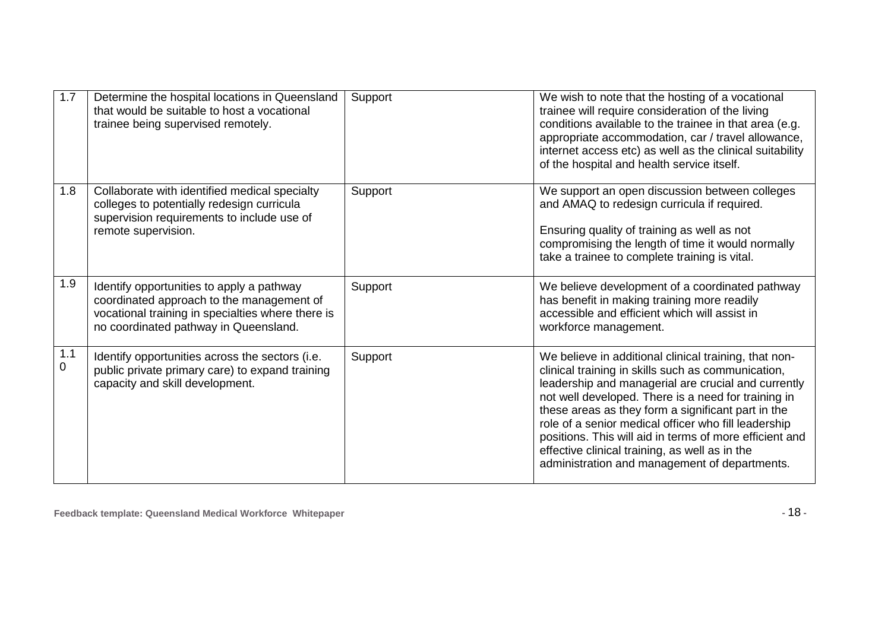| 1.7      | Determine the hospital locations in Queensland<br>that would be suitable to host a vocational<br>trainee being supervised remotely.                                                  | Support | We wish to note that the hosting of a vocational<br>trainee will require consideration of the living<br>conditions available to the trainee in that area (e.g.<br>appropriate accommodation, car / travel allowance,<br>internet access etc) as well as the clinical suitability<br>of the hospital and health service itself.                                                                                                                                                                        |
|----------|--------------------------------------------------------------------------------------------------------------------------------------------------------------------------------------|---------|-------------------------------------------------------------------------------------------------------------------------------------------------------------------------------------------------------------------------------------------------------------------------------------------------------------------------------------------------------------------------------------------------------------------------------------------------------------------------------------------------------|
| 1.8      | Collaborate with identified medical specialty<br>colleges to potentially redesign curricula<br>supervision requirements to include use of<br>remote supervision.                     | Support | We support an open discussion between colleges<br>and AMAQ to redesign curricula if required.<br>Ensuring quality of training as well as not<br>compromising the length of time it would normally<br>take a trainee to complete training is vital.                                                                                                                                                                                                                                                    |
| 1.9      | Identify opportunities to apply a pathway<br>coordinated approach to the management of<br>vocational training in specialties where there is<br>no coordinated pathway in Queensland. | Support | We believe development of a coordinated pathway<br>has benefit in making training more readily<br>accessible and efficient which will assist in<br>workforce management.                                                                                                                                                                                                                                                                                                                              |
| 1.1<br>0 | Identify opportunities across the sectors (i.e.<br>public private primary care) to expand training<br>capacity and skill development.                                                | Support | We believe in additional clinical training, that non-<br>clinical training in skills such as communication,<br>leadership and managerial are crucial and currently<br>not well developed. There is a need for training in<br>these areas as they form a significant part in the<br>role of a senior medical officer who fill leadership<br>positions. This will aid in terms of more efficient and<br>effective clinical training, as well as in the<br>administration and management of departments. |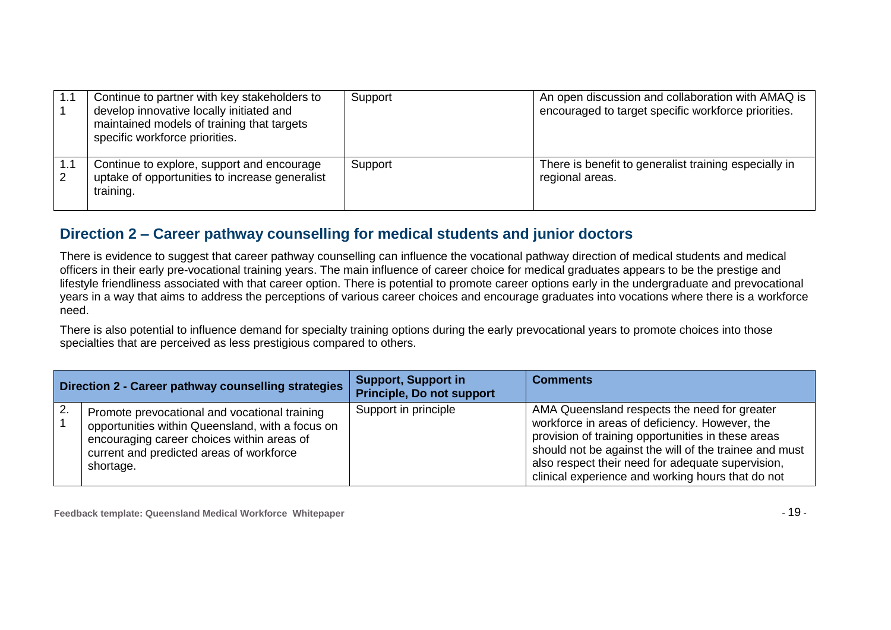| 1.1      | Continue to partner with key stakeholders to<br>develop innovative locally initiated and<br>maintained models of training that targets<br>specific workforce priorities. | Support | An open discussion and collaboration with AMAQ is<br>encouraged to target specific workforce priorities. |
|----------|--------------------------------------------------------------------------------------------------------------------------------------------------------------------------|---------|----------------------------------------------------------------------------------------------------------|
| 1.1<br>2 | Continue to explore, support and encourage<br>uptake of opportunities to increase generalist<br>training.                                                                | Support | There is benefit to generalist training especially in<br>regional areas.                                 |

#### **Direction 2 – Career pathway counselling for medical students and junior doctors**

There is evidence to suggest that career pathway counselling can influence the vocational pathway direction of medical students and medical officers in their early pre-vocational training years. The main influence of career choice for medical graduates appears to be the prestige and lifestyle friendliness associated with that career option. There is potential to promote career options early in the undergraduate and prevocational years in a way that aims to address the perceptions of various career choices and encourage graduates into vocations where there is a workforce need.

There is also potential to influence demand for specialty training options during the early prevocational years to promote choices into those specialties that are perceived as less prestigious compared to others.

| Direction 2 - Career pathway counselling strategies |                                                                                                                                                                                                          | <b>Support, Support in</b><br><b>Principle, Do not support</b> | <b>Comments</b>                                                                                                                                                                                                                                                                                                          |
|-----------------------------------------------------|----------------------------------------------------------------------------------------------------------------------------------------------------------------------------------------------------------|----------------------------------------------------------------|--------------------------------------------------------------------------------------------------------------------------------------------------------------------------------------------------------------------------------------------------------------------------------------------------------------------------|
| 2.                                                  | Promote prevocational and vocational training<br>opportunities within Queensland, with a focus on<br>encouraging career choices within areas of<br>current and predicted areas of workforce<br>shortage. | Support in principle                                           | AMA Queensland respects the need for greater<br>workforce in areas of deficiency. However, the<br>provision of training opportunities in these areas<br>should not be against the will of the trainee and must<br>also respect their need for adequate supervision,<br>clinical experience and working hours that do not |

**Feedback template: Queensland Medical Workforce Whitepaper -** 19 **-**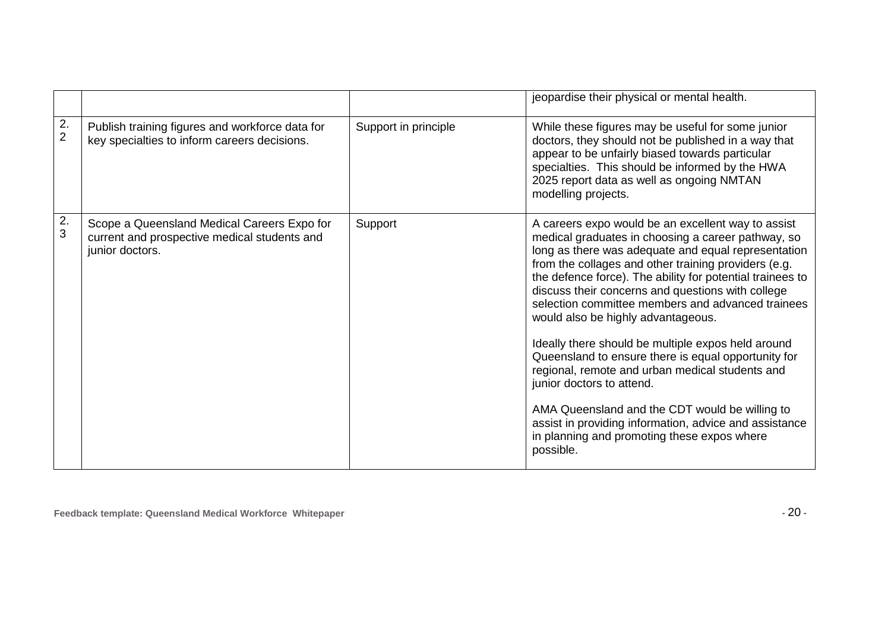|                      |                                                                                                                |                      | jeopardise their physical or mental health.                                                                                                                                                                                                                                                                                                                                                                                                                                                                                                                                                                                                                                                                                                                                                               |
|----------------------|----------------------------------------------------------------------------------------------------------------|----------------------|-----------------------------------------------------------------------------------------------------------------------------------------------------------------------------------------------------------------------------------------------------------------------------------------------------------------------------------------------------------------------------------------------------------------------------------------------------------------------------------------------------------------------------------------------------------------------------------------------------------------------------------------------------------------------------------------------------------------------------------------------------------------------------------------------------------|
| 2.<br>$\overline{2}$ | Publish training figures and workforce data for<br>key specialties to inform careers decisions.                | Support in principle | While these figures may be useful for some junior<br>doctors, they should not be published in a way that<br>appear to be unfairly biased towards particular<br>specialties. This should be informed by the HWA<br>2025 report data as well as ongoing NMTAN<br>modelling projects.                                                                                                                                                                                                                                                                                                                                                                                                                                                                                                                        |
| 2.<br>3              | Scope a Queensland Medical Careers Expo for<br>current and prospective medical students and<br>junior doctors. | Support              | A careers expo would be an excellent way to assist<br>medical graduates in choosing a career pathway, so<br>long as there was adequate and equal representation<br>from the collages and other training providers (e.g.<br>the defence force). The ability for potential trainees to<br>discuss their concerns and questions with college<br>selection committee members and advanced trainees<br>would also be highly advantageous.<br>Ideally there should be multiple expos held around<br>Queensland to ensure there is equal opportunity for<br>regional, remote and urban medical students and<br>junior doctors to attend.<br>AMA Queensland and the CDT would be willing to<br>assist in providing information, advice and assistance<br>in planning and promoting these expos where<br>possible. |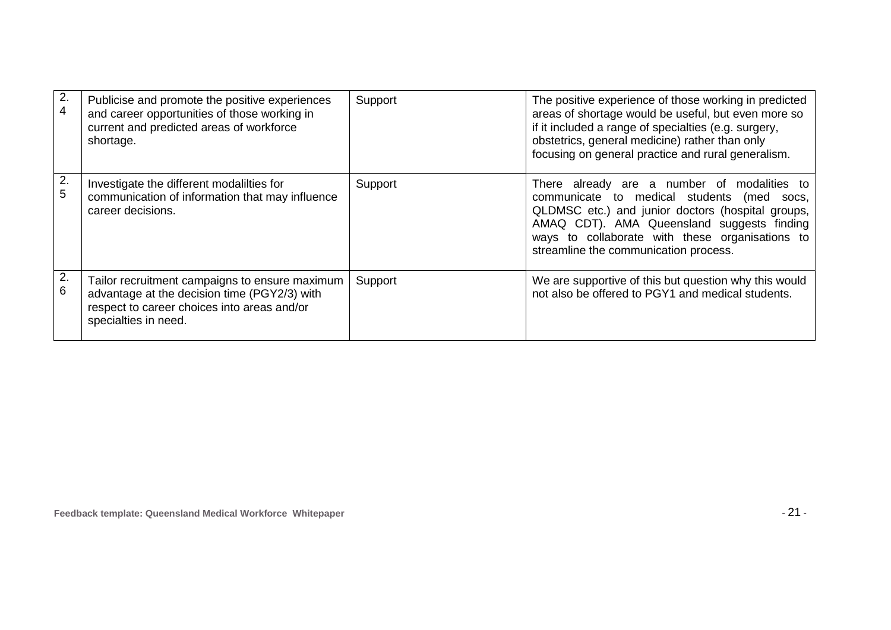| 2.<br>4 | Publicise and promote the positive experiences<br>and career opportunities of those working in<br>current and predicted areas of workforce<br>shortage.               | Support | The positive experience of those working in predicted<br>areas of shortage would be useful, but even more so<br>if it included a range of specialties (e.g. surgery,<br>obstetrics, general medicine) rather than only<br>focusing on general practice and rural generalism.                   |
|---------|-----------------------------------------------------------------------------------------------------------------------------------------------------------------------|---------|------------------------------------------------------------------------------------------------------------------------------------------------------------------------------------------------------------------------------------------------------------------------------------------------|
| 2.<br>5 | Investigate the different modalilties for<br>communication of information that may influence<br>career decisions.                                                     | Support | There already are a number of modalities to<br>communicate to medical students<br>(med<br>SOCS.<br>QLDMSC etc.) and junior doctors (hospital groups,<br>AMAQ CDT). AMA Queensland suggests finding<br>ways to collaborate with these organisations to<br>streamline the communication process. |
| 2.<br>6 | Tailor recruitment campaigns to ensure maximum<br>advantage at the decision time (PGY2/3) with<br>respect to career choices into areas and/or<br>specialties in need. | Support | We are supportive of this but question why this would<br>not also be offered to PGY1 and medical students.                                                                                                                                                                                     |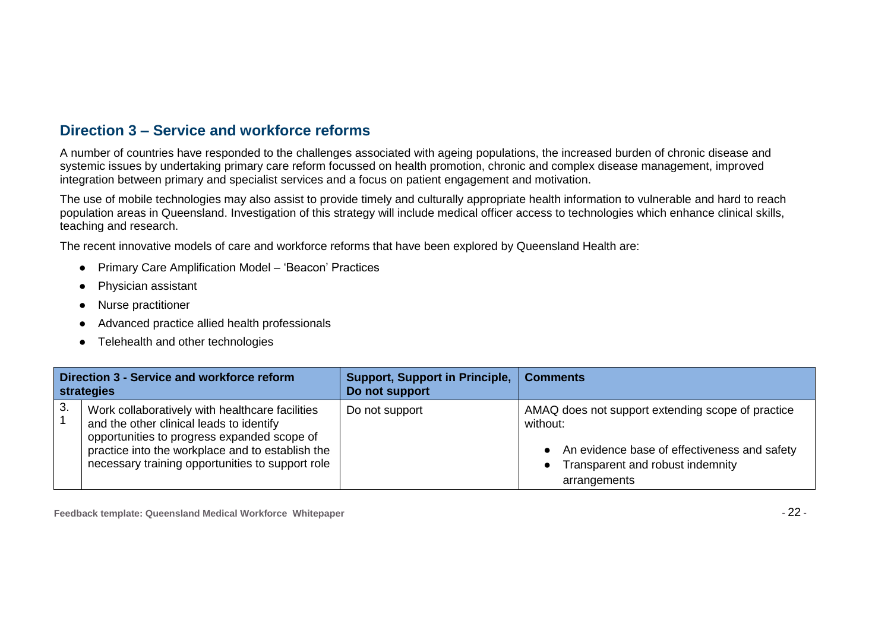#### **Direction 3 – Service and workforce reforms**

A number of countries have responded to the challenges associated with ageing populations, the increased burden of chronic disease and systemic issues by undertaking primary care reform focussed on health promotion, chronic and complex disease management, improved integration between primary and specialist services and a focus on patient engagement and motivation.

The use of mobile technologies may also assist to provide timely and culturally appropriate health information to vulnerable and hard to reach population areas in Queensland. Investigation of this strategy will include medical officer access to technologies which enhance clinical skills, teaching and research.

The recent innovative models of care and workforce reforms that have been explored by Queensland Health are:

- Primary Care Amplification Model "Beacon" Practices
- Physician assistant
- Nurse practitioner
- Advanced practice allied health professionals
- Telehealth and other technologies

| Direction 3 - Service and workforce reform<br>strategies |                                                                                                                                                                                                                                                    | <b>Support, Support in Principle,</b><br>Do not support | <b>Comments</b>                                                                                                                                                                  |
|----------------------------------------------------------|----------------------------------------------------------------------------------------------------------------------------------------------------------------------------------------------------------------------------------------------------|---------------------------------------------------------|----------------------------------------------------------------------------------------------------------------------------------------------------------------------------------|
| 3.                                                       | Work collaboratively with healthcare facilities<br>and the other clinical leads to identify<br>opportunities to progress expanded scope of<br>practice into the workplace and to establish the<br>necessary training opportunities to support role | Do not support                                          | AMAQ does not support extending scope of practice<br>without:<br>• An evidence base of effectiveness and safety<br>Transparent and robust indemnity<br>$\bullet$<br>arrangements |

**Feedback template: Queensland Medical Workforce Whitepaper -** 22 **-**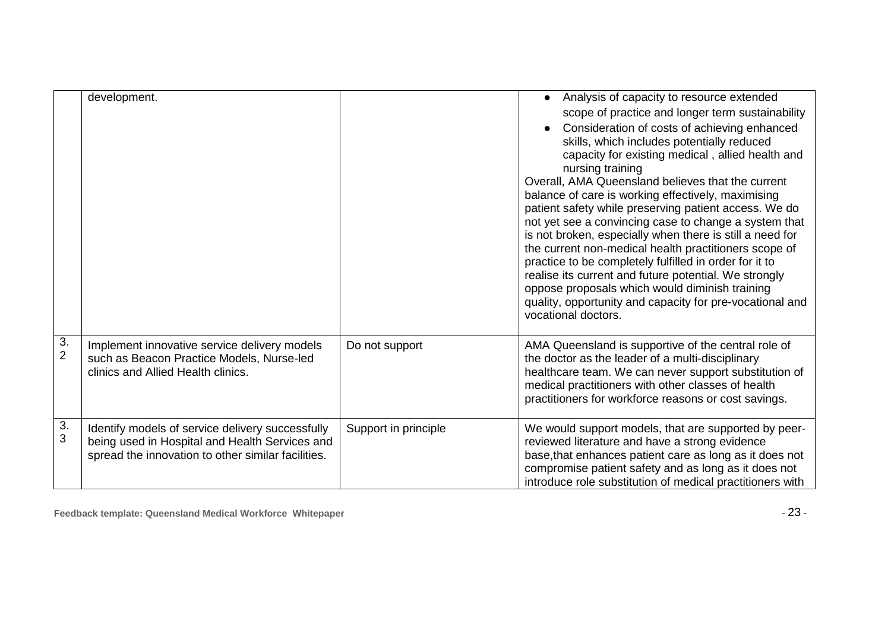|                      | development.                                                                                                                                             |                      | Analysis of capacity to resource extended<br>scope of practice and longer term sustainability<br>Consideration of costs of achieving enhanced<br>skills, which includes potentially reduced<br>capacity for existing medical, allied health and<br>nursing training<br>Overall, AMA Queensland believes that the current<br>balance of care is working effectively, maximising<br>patient safety while preserving patient access. We do<br>not yet see a convincing case to change a system that<br>is not broken, especially when there is still a need for<br>the current non-medical health practitioners scope of<br>practice to be completely fulfilled in order for it to<br>realise its current and future potential. We strongly<br>oppose proposals which would diminish training<br>quality, opportunity and capacity for pre-vocational and<br>vocational doctors. |
|----------------------|----------------------------------------------------------------------------------------------------------------------------------------------------------|----------------------|-------------------------------------------------------------------------------------------------------------------------------------------------------------------------------------------------------------------------------------------------------------------------------------------------------------------------------------------------------------------------------------------------------------------------------------------------------------------------------------------------------------------------------------------------------------------------------------------------------------------------------------------------------------------------------------------------------------------------------------------------------------------------------------------------------------------------------------------------------------------------------|
| 3.<br>$\overline{2}$ | Implement innovative service delivery models<br>such as Beacon Practice Models, Nurse-led<br>clinics and Allied Health clinics.                          | Do not support       | AMA Queensland is supportive of the central role of<br>the doctor as the leader of a multi-disciplinary<br>healthcare team. We can never support substitution of<br>medical practitioners with other classes of health<br>practitioners for workforce reasons or cost savings.                                                                                                                                                                                                                                                                                                                                                                                                                                                                                                                                                                                                |
| $\frac{3}{3}$        | Identify models of service delivery successfully<br>being used in Hospital and Health Services and<br>spread the innovation to other similar facilities. | Support in principle | We would support models, that are supported by peer-<br>reviewed literature and have a strong evidence<br>base, that enhances patient care as long as it does not<br>compromise patient safety and as long as it does not<br>introduce role substitution of medical practitioners with                                                                                                                                                                                                                                                                                                                                                                                                                                                                                                                                                                                        |

**Feedback template: Queensland Medical Workforce Whitepaper -** 23 **-**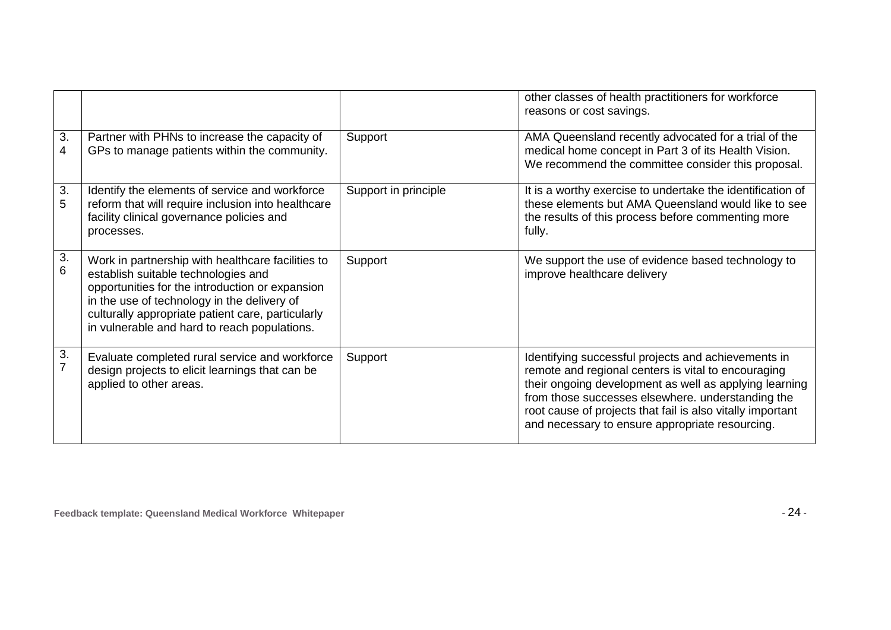|         |                                                                                                                                                                                                                                                                                                 |                      | other classes of health practitioners for workforce<br>reasons or cost savings.                                                                                                                                                                                                                                                            |
|---------|-------------------------------------------------------------------------------------------------------------------------------------------------------------------------------------------------------------------------------------------------------------------------------------------------|----------------------|--------------------------------------------------------------------------------------------------------------------------------------------------------------------------------------------------------------------------------------------------------------------------------------------------------------------------------------------|
| 3.<br>4 | Partner with PHNs to increase the capacity of<br>GPs to manage patients within the community.                                                                                                                                                                                                   | Support              | AMA Queensland recently advocated for a trial of the<br>medical home concept in Part 3 of its Health Vision.<br>We recommend the committee consider this proposal.                                                                                                                                                                         |
| 3.<br>5 | Identify the elements of service and workforce<br>reform that will require inclusion into healthcare<br>facility clinical governance policies and<br>processes.                                                                                                                                 | Support in principle | It is a worthy exercise to undertake the identification of<br>these elements but AMA Queensland would like to see<br>the results of this process before commenting more<br>fully.                                                                                                                                                          |
| 3.<br>6 | Work in partnership with healthcare facilities to<br>establish suitable technologies and<br>opportunities for the introduction or expansion<br>in the use of technology in the delivery of<br>culturally appropriate patient care, particularly<br>in vulnerable and hard to reach populations. | Support              | We support the use of evidence based technology to<br>improve healthcare delivery                                                                                                                                                                                                                                                          |
| 3.      | Evaluate completed rural service and workforce<br>design projects to elicit learnings that can be<br>applied to other areas.                                                                                                                                                                    | Support              | Identifying successful projects and achievements in<br>remote and regional centers is vital to encouraging<br>their ongoing development as well as applying learning<br>from those successes elsewhere. understanding the<br>root cause of projects that fail is also vitally important<br>and necessary to ensure appropriate resourcing. |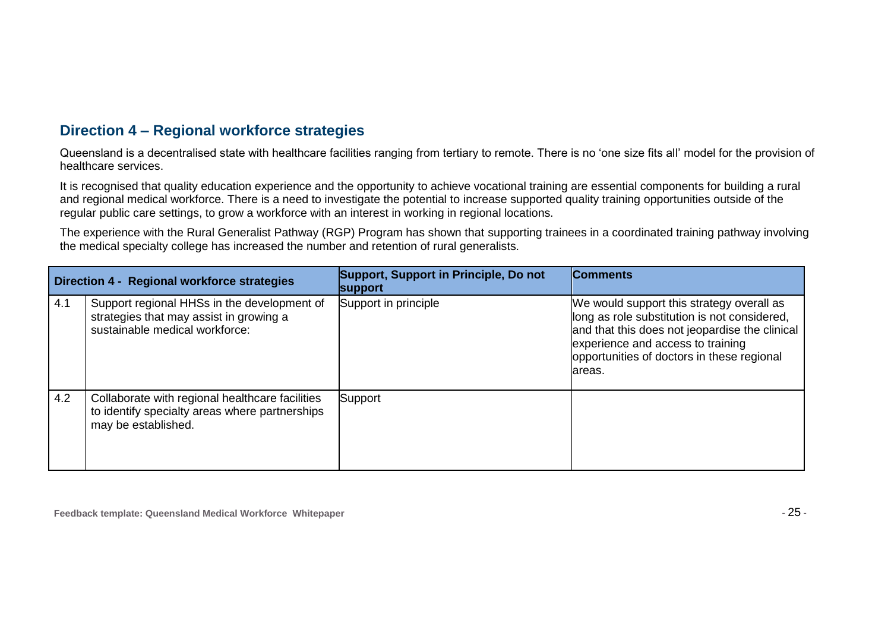#### **Direction 4 – Regional workforce strategies**

Queensland is a decentralised state with healthcare facilities ranging from tertiary to remote. There is no "one size fits all" model for the provision of healthcare services.

It is recognised that quality education experience and the opportunity to achieve vocational training are essential components for building a rural and regional medical workforce. There is a need to investigate the potential to increase supported quality training opportunities outside of the regular public care settings, to grow a workforce with an interest in working in regional locations.

The experience with the Rural Generalist Pathway (RGP) Program has shown that supporting trainees in a coordinated training pathway involving the medical specialty college has increased the number and retention of rural generalists.

| <b>Direction 4 - Regional workforce strategies</b> |                                                                                                                          | Support, Support in Principle, Do not<br><b>support</b> | <b>Comments</b>                                                                                                                                                                                                                           |
|----------------------------------------------------|--------------------------------------------------------------------------------------------------------------------------|---------------------------------------------------------|-------------------------------------------------------------------------------------------------------------------------------------------------------------------------------------------------------------------------------------------|
| 4.1                                                | Support regional HHSs in the development of<br>strategies that may assist in growing a<br>sustainable medical workforce: | Support in principle                                    | We would support this strategy overall as<br>long as role substitution is not considered,<br>and that this does not jeopardise the clinical<br>experience and access to training<br>opportunities of doctors in these regional<br>lareas. |
| 4.2                                                | Collaborate with regional healthcare facilities<br>to identify specialty areas where partnerships<br>may be established. | Support                                                 |                                                                                                                                                                                                                                           |

**Feedback template: Queensland Medical Workforce Whitepaper -** 25 **-**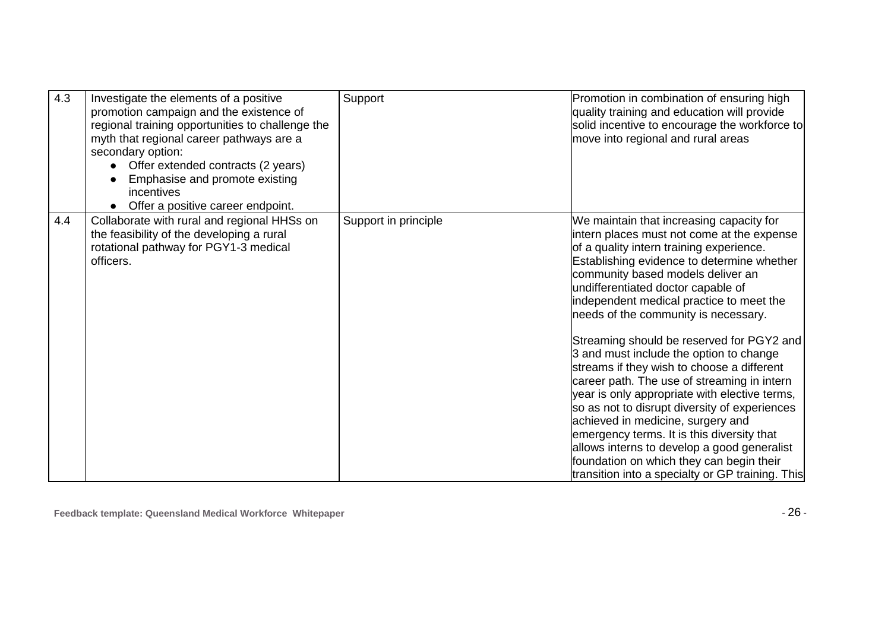| 4.3 | Investigate the elements of a positive<br>promotion campaign and the existence of<br>regional training opportunities to challenge the<br>myth that regional career pathways are a<br>secondary option:<br>Offer extended contracts (2 years)<br>Emphasise and promote existing<br>incentives<br>Offer a positive career endpoint.<br>$\bullet$ | Support              | Promotion in combination of ensuring high<br>quality training and education will provide<br>solid incentive to encourage the workforce to<br>move into regional and rural areas                                                                                                                                                                                                                                                                                                                                       |
|-----|------------------------------------------------------------------------------------------------------------------------------------------------------------------------------------------------------------------------------------------------------------------------------------------------------------------------------------------------|----------------------|-----------------------------------------------------------------------------------------------------------------------------------------------------------------------------------------------------------------------------------------------------------------------------------------------------------------------------------------------------------------------------------------------------------------------------------------------------------------------------------------------------------------------|
| 4.4 | Collaborate with rural and regional HHSs on<br>the feasibility of the developing a rural<br>rotational pathway for PGY1-3 medical<br>officers.                                                                                                                                                                                                 | Support in principle | We maintain that increasing capacity for<br>intern places must not come at the expense<br>of a quality intern training experience.<br>Establishing evidence to determine whether<br>community based models deliver an<br>undifferentiated doctor capable of<br>independent medical practice to meet the<br>needs of the community is necessary.                                                                                                                                                                       |
|     |                                                                                                                                                                                                                                                                                                                                                |                      | Streaming should be reserved for PGY2 and<br>3 and must include the option to change<br>streams if they wish to choose a different<br>career path. The use of streaming in intern<br>year is only appropriate with elective terms,<br>so as not to disrupt diversity of experiences<br>achieved in medicine, surgery and<br>emergency terms. It is this diversity that<br>allows interns to develop a good generalist<br>foundation on which they can begin their<br>transition into a specialty or GP training. This |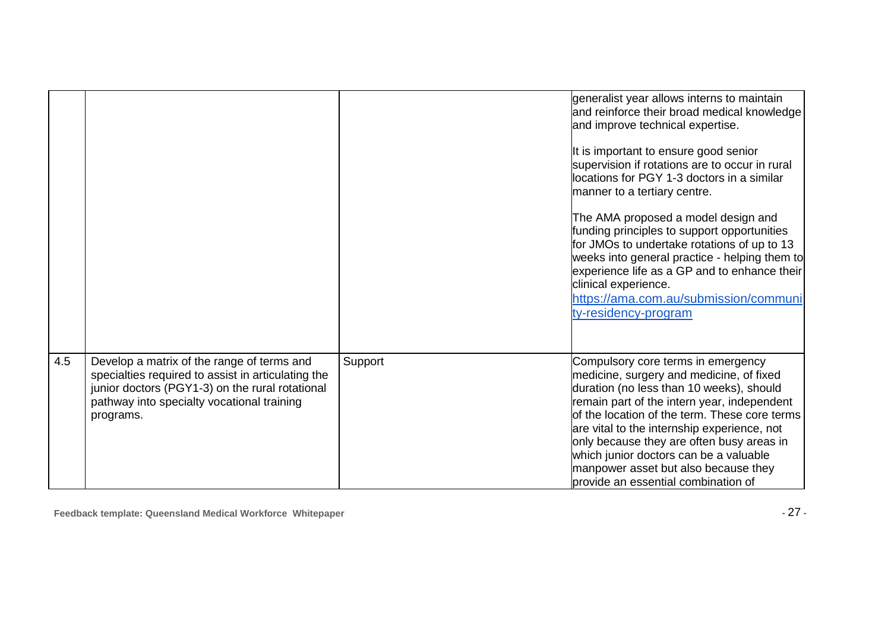|     |                                                                                                                                                                                                                |         | generalist year allows interns to maintain<br>and reinforce their broad medical knowledge<br>and improve technical expertise.                                                                                                                                                                                                                                                                                                                   |
|-----|----------------------------------------------------------------------------------------------------------------------------------------------------------------------------------------------------------------|---------|-------------------------------------------------------------------------------------------------------------------------------------------------------------------------------------------------------------------------------------------------------------------------------------------------------------------------------------------------------------------------------------------------------------------------------------------------|
|     |                                                                                                                                                                                                                |         | It is important to ensure good senior<br>supervision if rotations are to occur in rural<br>locations for PGY 1-3 doctors in a similar<br>manner to a tertiary centre.                                                                                                                                                                                                                                                                           |
|     |                                                                                                                                                                                                                |         | The AMA proposed a model design and<br>funding principles to support opportunities<br>for JMOs to undertake rotations of up to 13<br>weeks into general practice - helping them to<br>experience life as a GP and to enhance their<br>clinical experience.<br>https://ama.com.au/submission/communi<br>ty-residency-program                                                                                                                     |
| 4.5 | Develop a matrix of the range of terms and<br>specialties required to assist in articulating the<br>junior doctors (PGY1-3) on the rural rotational<br>pathway into specialty vocational training<br>programs. | Support | Compulsory core terms in emergency<br>medicine, surgery and medicine, of fixed<br>duration (no less than 10 weeks), should<br>remain part of the intern year, independent<br>of the location of the term. These core terms<br>are vital to the internship experience, not<br>only because they are often busy areas in<br>which junior doctors can be a valuable<br>manpower asset but also because they<br>provide an essential combination of |

**Feedback template: Queensland Medical Workforce Whitepaper -** 27 **-**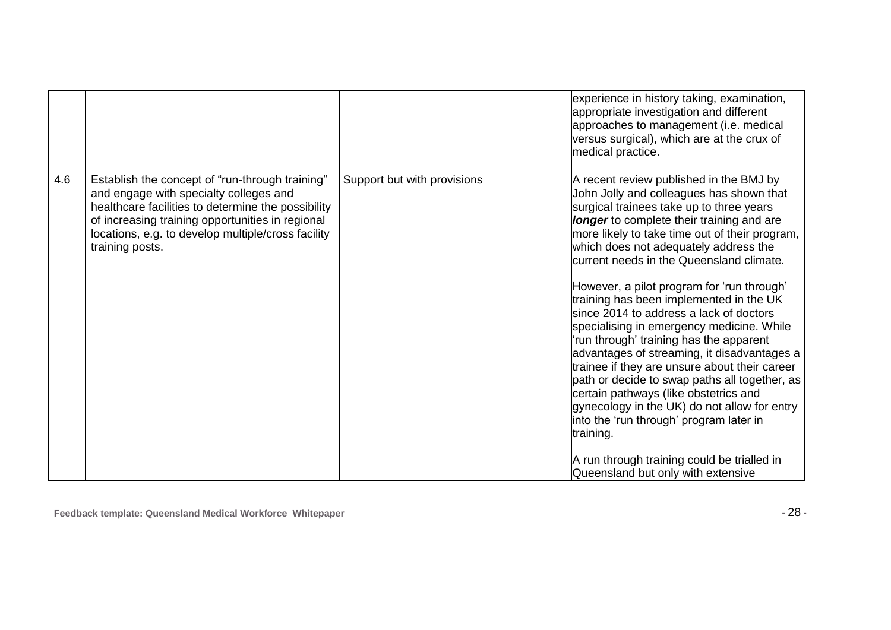|     |                                                                                                                                                                                                                                                                              |                             | experience in history taking, examination,<br>appropriate investigation and different<br>approaches to management (i.e. medical<br>versus surgical), which are at the crux of<br>medical practice.                                                                                                                                                                                                                                                                                                                                                                                                                                                                                                                                                                                                                                                                                                                                     |
|-----|------------------------------------------------------------------------------------------------------------------------------------------------------------------------------------------------------------------------------------------------------------------------------|-----------------------------|----------------------------------------------------------------------------------------------------------------------------------------------------------------------------------------------------------------------------------------------------------------------------------------------------------------------------------------------------------------------------------------------------------------------------------------------------------------------------------------------------------------------------------------------------------------------------------------------------------------------------------------------------------------------------------------------------------------------------------------------------------------------------------------------------------------------------------------------------------------------------------------------------------------------------------------|
| 4.6 | Establish the concept of "run-through training"<br>and engage with specialty colleges and<br>healthcare facilities to determine the possibility<br>of increasing training opportunities in regional<br>locations, e.g. to develop multiple/cross facility<br>training posts. | Support but with provisions | A recent review published in the BMJ by<br>John Jolly and colleagues has shown that<br>surgical trainees take up to three years<br>longer to complete their training and are<br>more likely to take time out of their program,<br>which does not adequately address the<br>current needs in the Queensland climate.<br>However, a pilot program for 'run through'<br>training has been implemented in the UK<br>since 2014 to address a lack of doctors<br>specialising in emergency medicine. While<br>'run through' training has the apparent<br>advantages of streaming, it disadvantages a<br>trainee if they are unsure about their career<br>path or decide to swap paths all together, as<br>certain pathways (like obstetrics and<br>gynecology in the UK) do not allow for entry<br>into the 'run through' program later in<br>training.<br>A run through training could be trialled in<br>Queensland but only with extensive |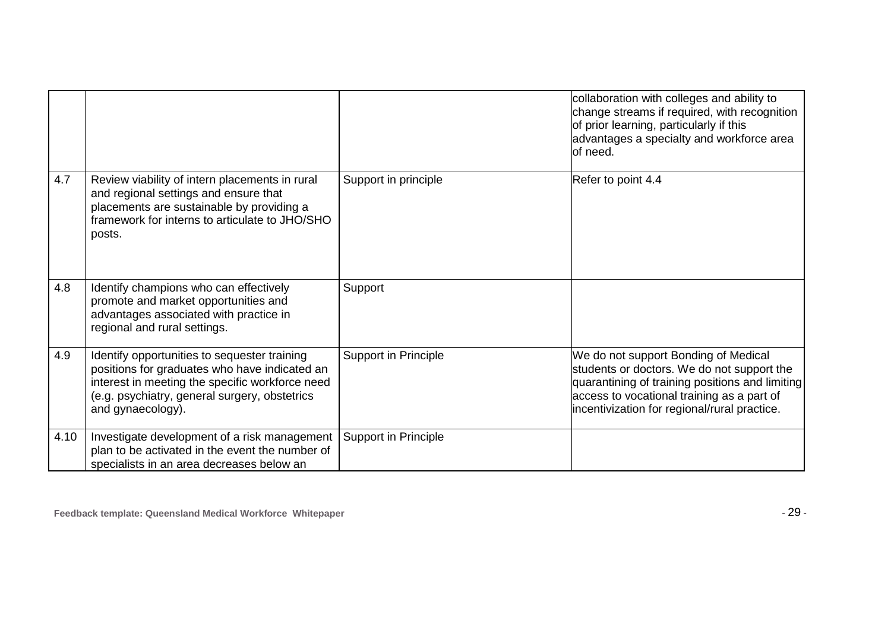|      |                                                                                                                                                                                                                        |                             | collaboration with colleges and ability to<br>change streams if required, with recognition<br>of prior learning, particularly if this<br>advantages a specialty and workforce area<br>of need.                                      |
|------|------------------------------------------------------------------------------------------------------------------------------------------------------------------------------------------------------------------------|-----------------------------|-------------------------------------------------------------------------------------------------------------------------------------------------------------------------------------------------------------------------------------|
| 4.7  | Review viability of intern placements in rural<br>and regional settings and ensure that<br>placements are sustainable by providing a<br>framework for interns to articulate to JHO/SHO<br>posts.                       | Support in principle        | Refer to point 4.4                                                                                                                                                                                                                  |
| 4.8  | Identify champions who can effectively<br>promote and market opportunities and<br>advantages associated with practice in<br>regional and rural settings.                                                               | Support                     |                                                                                                                                                                                                                                     |
| 4.9  | Identify opportunities to sequester training<br>positions for graduates who have indicated an<br>interest in meeting the specific workforce need<br>(e.g. psychiatry, general surgery, obstetrics<br>and gynaecology). | <b>Support in Principle</b> | We do not support Bonding of Medical<br>students or doctors. We do not support the<br>quarantining of training positions and limiting<br>access to vocational training as a part of<br>incentivization for regional/rural practice. |
| 4.10 | Investigate development of a risk management<br>plan to be activated in the event the number of<br>specialists in an area decreases below an                                                                           | <b>Support in Principle</b> |                                                                                                                                                                                                                                     |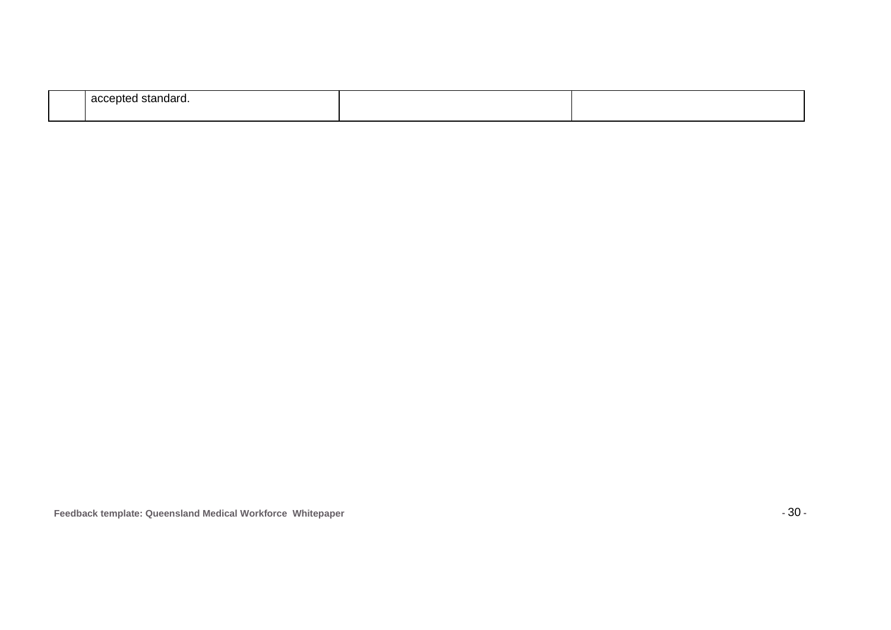| pocon<br>-------<br>sianuaru.<br>av.<br>11.1 |  |
|----------------------------------------------|--|
|                                              |  |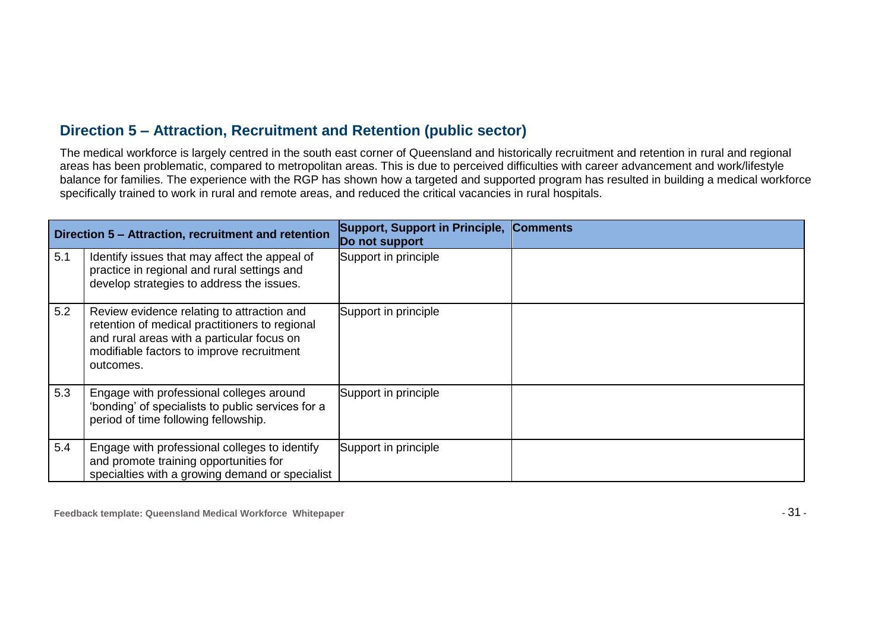#### **Direction 5 – Attraction, Recruitment and Retention (public sector)**

The medical workforce is largely centred in the south east corner of Queensland and historically recruitment and retention in rural and regional areas has been problematic, compared to metropolitan areas. This is due to perceived difficulties with career advancement and work/lifestyle balance for families. The experience with the RGP has shown how a targeted and supported program has resulted in building a medical workforce specifically trained to work in rural and remote areas, and reduced the critical vacancies in rural hospitals.

| Direction 5 - Attraction, recruitment and retention |                                                                                                                                                                                                      | Support, Support in Principle, Comments<br>Do not support |  |
|-----------------------------------------------------|------------------------------------------------------------------------------------------------------------------------------------------------------------------------------------------------------|-----------------------------------------------------------|--|
| 5.1                                                 | Identify issues that may affect the appeal of<br>practice in regional and rural settings and<br>develop strategies to address the issues.                                                            | Support in principle                                      |  |
| 5.2                                                 | Review evidence relating to attraction and<br>retention of medical practitioners to regional<br>and rural areas with a particular focus on<br>modifiable factors to improve recruitment<br>outcomes. | Support in principle                                      |  |
| 5.3                                                 | Engage with professional colleges around<br>'bonding' of specialists to public services for a<br>period of time following fellowship.                                                                | Support in principle                                      |  |
| 5.4                                                 | Engage with professional colleges to identify<br>and promote training opportunities for<br>specialties with a growing demand or specialist                                                           | Support in principle                                      |  |

**Feedback template: Queensland Medical Workforce Whitepaper -** 31 **-**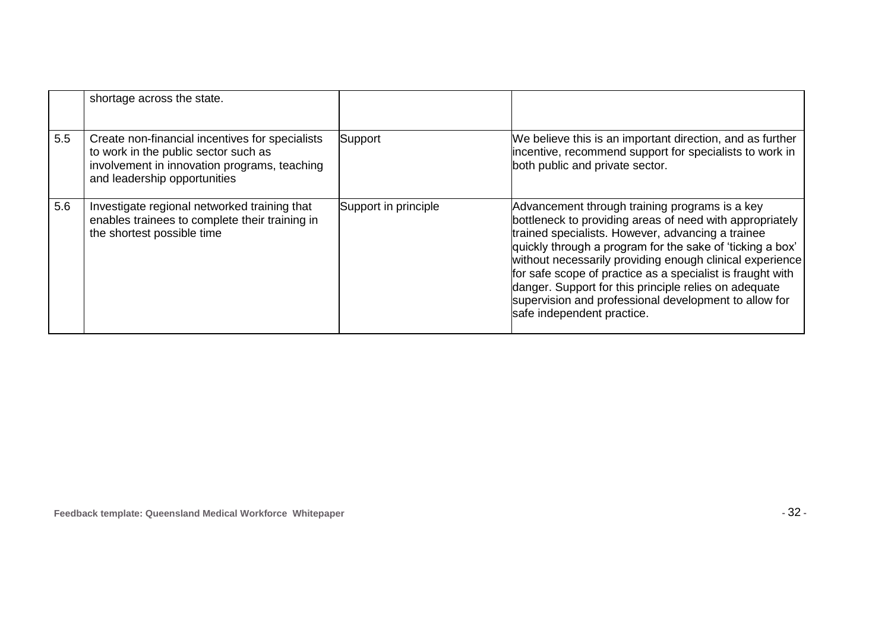|     | shortage across the state.                                                                                                                                              |                      |                                                                                                                                                                                                                                                                                                                                                                                                                                                                                                        |
|-----|-------------------------------------------------------------------------------------------------------------------------------------------------------------------------|----------------------|--------------------------------------------------------------------------------------------------------------------------------------------------------------------------------------------------------------------------------------------------------------------------------------------------------------------------------------------------------------------------------------------------------------------------------------------------------------------------------------------------------|
| 5.5 | Create non-financial incentives for specialists<br>to work in the public sector such as<br>involvement in innovation programs, teaching<br>and leadership opportunities | Support              | We believe this is an important direction, and as further<br>incentive, recommend support for specialists to work in<br>both public and private sector.                                                                                                                                                                                                                                                                                                                                                |
| 5.6 | Investigate regional networked training that<br>enables trainees to complete their training in<br>the shortest possible time                                            | Support in principle | Advancement through training programs is a key<br>bottleneck to providing areas of need with appropriately<br>trained specialists. However, advancing a trainee<br>quickly through a program for the sake of 'ticking a box'<br>without necessarily providing enough clinical experience<br>for safe scope of practice as a specialist is fraught with<br>danger. Support for this principle relies on adequate<br>supervision and professional development to allow for<br>safe independent practice. |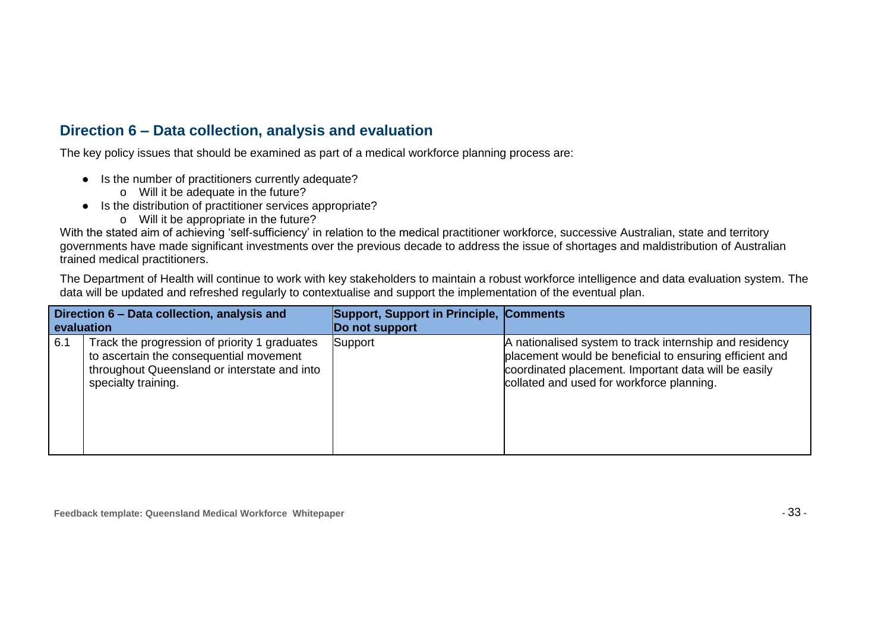#### **Direction 6 – Data collection, analysis and evaluation**

The key policy issues that should be examined as part of a medical workforce planning process are:

- Is the number of practitioners currently adequate?
	- o Will it be adequate in the future?
- Is the distribution of practitioner services appropriate?
	- o Will it be appropriate in the future?

With the stated aim of achieving 'self-sufficiency' in relation to the medical practitioner workforce, successive Australian, state and territory governments have made significant investments over the previous decade to address the issue of shortages and maldistribution of Australian trained medical practitioners.

The Department of Health will continue to work with key stakeholders to maintain a robust workforce intelligence and data evaluation system. The data will be updated and refreshed regularly to contextualise and support the implementation of the eventual plan.

| Direction 6 – Data collection, analysis and<br>evaluation |                                                                                                                                                                 | Support, Support in Principle, Comments<br>Do not support |                                                                                                                                                                                                                         |
|-----------------------------------------------------------|-----------------------------------------------------------------------------------------------------------------------------------------------------------------|-----------------------------------------------------------|-------------------------------------------------------------------------------------------------------------------------------------------------------------------------------------------------------------------------|
| 6.1                                                       | Track the progression of priority 1 graduates<br>to ascertain the consequential movement<br>throughout Queensland or interstate and into<br>specialty training. | Support                                                   | A nationalised system to track internship and residency<br>placement would be beneficial to ensuring efficient and<br>coordinated placement. Important data will be easily<br>collated and used for workforce planning. |

**Feedback template: Queensland Medical Workforce Whitepaper -** 33 **-**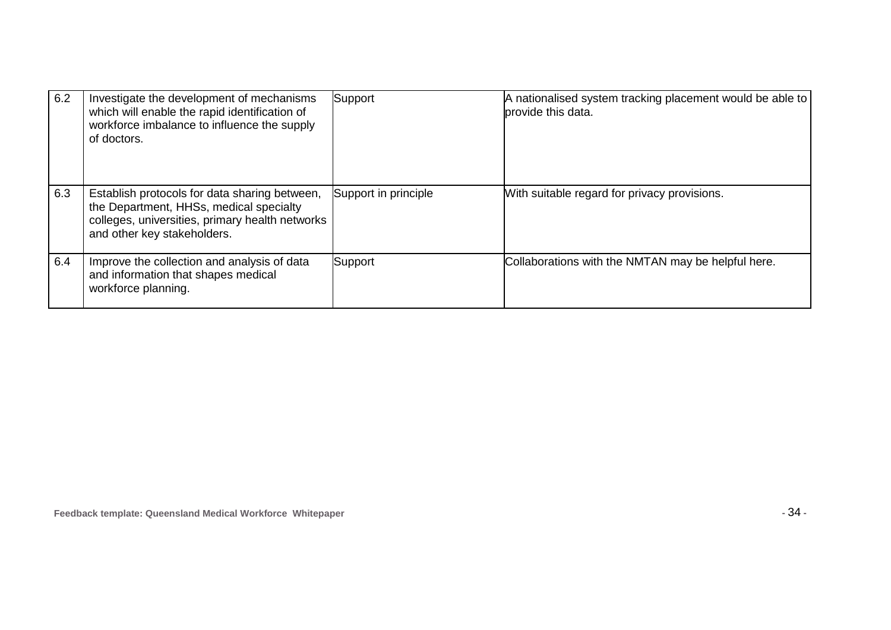| 6.2 | Investigate the development of mechanisms<br>which will enable the rapid identification of<br>workforce imbalance to influence the supply<br>of doctors.                   | Support              | A nationalised system tracking placement would be able to<br>provide this data. |
|-----|----------------------------------------------------------------------------------------------------------------------------------------------------------------------------|----------------------|---------------------------------------------------------------------------------|
| 6.3 | Establish protocols for data sharing between,<br>the Department, HHSs, medical specialty<br>colleges, universities, primary health networks<br>and other key stakeholders. | Support in principle | With suitable regard for privacy provisions.                                    |
| 6.4 | Improve the collection and analysis of data<br>and information that shapes medical<br>workforce planning.                                                                  | Support              | Collaborations with the NMTAN may be helpful here.                              |